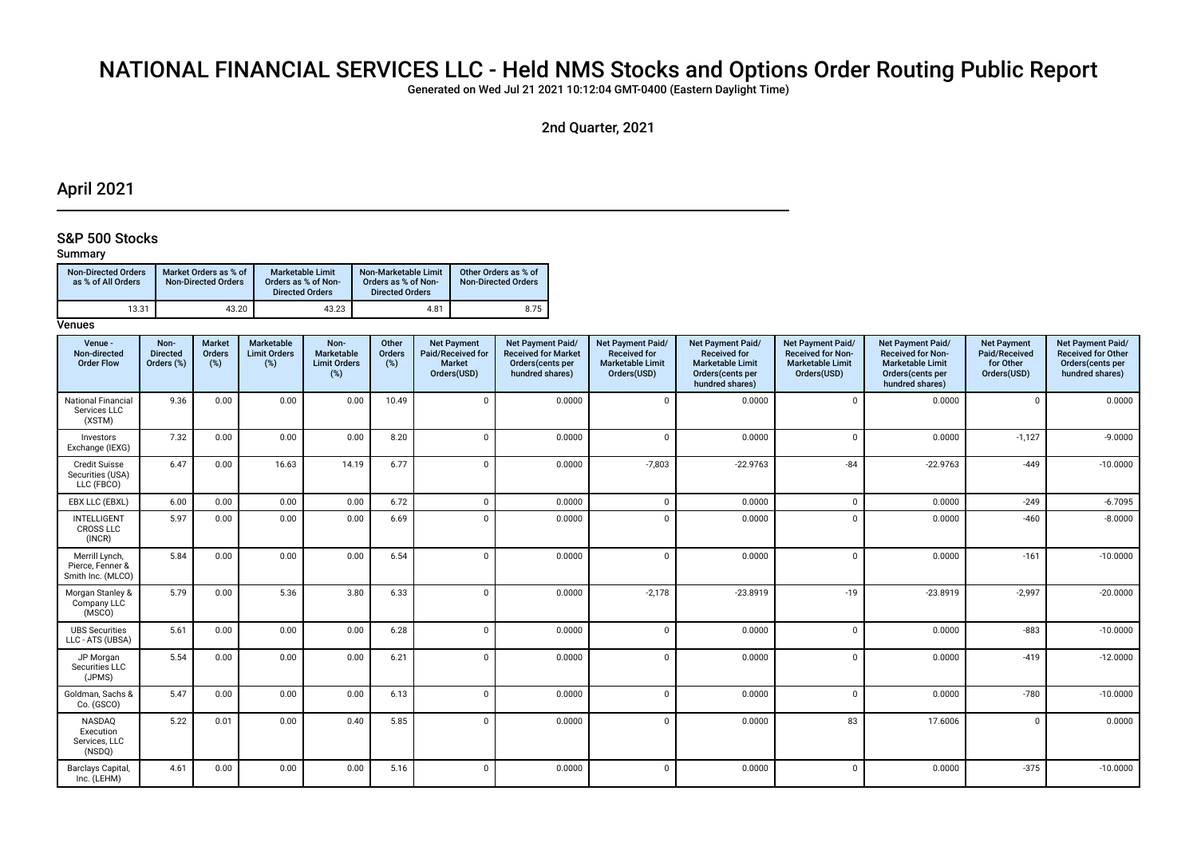# NATIONAL FINANCIAL SERVICES LLC - Held NMS Stocks and Options Order Routing Public Report

Generated on Wed Jul 21 2021 10:12:04 GMT-0400 (Eastern Daylight Time)

2nd Quarter, 2021

## April 2021

## S&P 500 Stocks

## Summary

| <b>Non-Directed Orders</b><br>as % of All Orders | Market Orders as % of<br>Non-Directed Orders | <b>Marketable Limit</b><br>Orders as % of Non-<br><b>Directed Orders</b> | Non-Marketable Limit<br>Orders as % of Non-<br><b>Directed Orders</b> | Other Orders as % of<br><b>Non-Directed Orders</b> |
|--------------------------------------------------|----------------------------------------------|--------------------------------------------------------------------------|-----------------------------------------------------------------------|----------------------------------------------------|
| 13.31                                            | 43.20                                        | 43.23                                                                    | 4.81                                                                  | 8.75                                               |

| Venue -<br>Non-directed<br><b>Order Flow</b>            | Non-<br><b>Directed</b><br>Orders (%) | <b>Market</b><br>Orders<br>(%) | Marketable<br><b>Limit Orders</b><br>(%) | Non-<br>Marketable<br><b>Limit Orders</b><br>$(\%)$ | Other<br>Orders<br>(%) | <b>Net Payment</b><br>Paid/Received for<br><b>Market</b><br>Orders(USD) | <b>Net Payment Paid/</b><br><b>Received for Market</b><br>Orders(cents per<br>hundred shares) | Net Payment Paid/<br><b>Received for</b><br><b>Marketable Limit</b><br>Orders(USD) | <b>Net Payment Paid/</b><br><b>Received for</b><br><b>Marketable Limit</b><br>Orders(cents per<br>hundred shares) | Net Payment Paid/<br><b>Received for Non-</b><br><b>Marketable Limit</b><br>Orders(USD) | Net Payment Paid/<br><b>Received for Non-</b><br><b>Marketable Limit</b><br>Orders(cents per<br>hundred shares) | <b>Net Payment</b><br>Paid/Received<br>for Other<br>Orders(USD) | Net Payment Paid/<br><b>Received for Other</b><br>Orders(cents per<br>hundred shares) |
|---------------------------------------------------------|---------------------------------------|--------------------------------|------------------------------------------|-----------------------------------------------------|------------------------|-------------------------------------------------------------------------|-----------------------------------------------------------------------------------------------|------------------------------------------------------------------------------------|-------------------------------------------------------------------------------------------------------------------|-----------------------------------------------------------------------------------------|-----------------------------------------------------------------------------------------------------------------|-----------------------------------------------------------------|---------------------------------------------------------------------------------------|
| <b>National Financial</b><br>Services LLC<br>(XSTM)     | 9.36                                  | 0.00                           | 0.00                                     | 0.00                                                | 10.49                  | $\mathbf 0$                                                             | 0.0000                                                                                        | $\mathbf 0$                                                                        | 0.0000                                                                                                            | $\Omega$                                                                                | 0.0000                                                                                                          | $\Omega$                                                        | 0.0000                                                                                |
| Investors<br>Exchange (IEXG)                            | 7.32                                  | 0.00                           | 0.00                                     | 0.00                                                | 8.20                   | $\mathbf 0$                                                             | 0.0000                                                                                        | $\mathbf{0}$                                                                       | 0.0000                                                                                                            | $\Omega$                                                                                | 0.0000                                                                                                          | $-1,127$                                                        | $-9.0000$                                                                             |
| <b>Credit Suisse</b><br>Securities (USA)<br>LLC (FBCO)  | 6.47                                  | 0.00                           | 16.63                                    | 14.19                                               | 6.77                   | $\Omega$                                                                | 0.0000                                                                                        | $-7,803$                                                                           | $-22.9763$                                                                                                        | $-84$                                                                                   | $-22.9763$                                                                                                      | $-449$                                                          | $-10.0000$                                                                            |
| EBX LLC (EBXL)                                          | 6.00                                  | 0.00                           | 0.00                                     | 0.00                                                | 6.72                   | $\mathbf 0$                                                             | 0.0000                                                                                        | $\mathbf 0$                                                                        | 0.0000                                                                                                            | $\Omega$                                                                                | 0.0000                                                                                                          | $-249$                                                          | $-6.7095$                                                                             |
| <b>INTELLIGENT</b><br><b>CROSS LLC</b><br>(INCR)        | 5.97                                  | 0.00                           | 0.00                                     | 0.00                                                | 6.69                   | $\Omega$                                                                | 0.0000                                                                                        | $\Omega$                                                                           | 0.0000                                                                                                            | $\Omega$                                                                                | 0.0000                                                                                                          | $-460$                                                          | $-8.0000$                                                                             |
| Merrill Lynch,<br>Pierce, Fenner &<br>Smith Inc. (MLCO) | 5.84                                  | 0.00                           | 0.00                                     | 0.00                                                | 6.54                   | $\Omega$                                                                | 0.0000                                                                                        | $\Omega$                                                                           | 0.0000                                                                                                            | $\Omega$                                                                                | 0.0000                                                                                                          | $-161$                                                          | $-10.0000$                                                                            |
| Morgan Stanley &<br>Company LLC<br>(MSCO)               | 5.79                                  | 0.00                           | 5.36                                     | 3.80                                                | 6.33                   | $\Omega$                                                                | 0.0000                                                                                        | $-2,178$                                                                           | $-23.8919$                                                                                                        | $-19$                                                                                   | $-23.8919$                                                                                                      | $-2,997$                                                        | $-20.0000$                                                                            |
| <b>UBS Securities</b><br>LLC - ATS (UBSA)               | 5.61                                  | 0.00                           | 0.00                                     | 0.00                                                | 6.28                   | $\mathbf{0}$                                                            | 0.0000                                                                                        | $\Omega$                                                                           | 0.0000                                                                                                            | $\Omega$                                                                                | 0.0000                                                                                                          | $-883$                                                          | $-10.0000$                                                                            |
| JP Morgan<br>Securities LLC<br>(JPMS)                   | 5.54                                  | 0.00                           | 0.00                                     | 0.00                                                | 6.21                   | $\mathbf 0$                                                             | 0.0000                                                                                        | $\Omega$                                                                           | 0.0000                                                                                                            | $\Omega$                                                                                | 0.0000                                                                                                          | $-419$                                                          | $-12.0000$                                                                            |
| Goldman, Sachs &<br>Co. (GSCO)                          | 5.47                                  | 0.00                           | 0.00                                     | 0.00                                                | 6.13                   | $\mathbf 0$                                                             | 0.0000                                                                                        | $\Omega$                                                                           | 0.0000                                                                                                            | $\Omega$                                                                                | 0.0000                                                                                                          | $-780$                                                          | $-10.0000$                                                                            |
| <b>NASDAO</b><br>Execution<br>Services, LLC<br>(NSDQ)   | 5.22                                  | 0.01                           | 0.00                                     | 0.40                                                | 5.85                   | $\Omega$                                                                | 0.0000                                                                                        | $\Omega$                                                                           | 0.0000                                                                                                            | 83                                                                                      | 17.6006                                                                                                         | $\Omega$                                                        | 0.0000                                                                                |
| Barclays Capital,<br>Inc. (LEHM)                        | 4.61                                  | 0.00                           | 0.00                                     | 0.00                                                | 5.16                   | $\Omega$                                                                | 0.0000                                                                                        | $\Omega$                                                                           | 0.0000                                                                                                            | $\Omega$                                                                                | 0.0000                                                                                                          | $-375$                                                          | $-10.0000$                                                                            |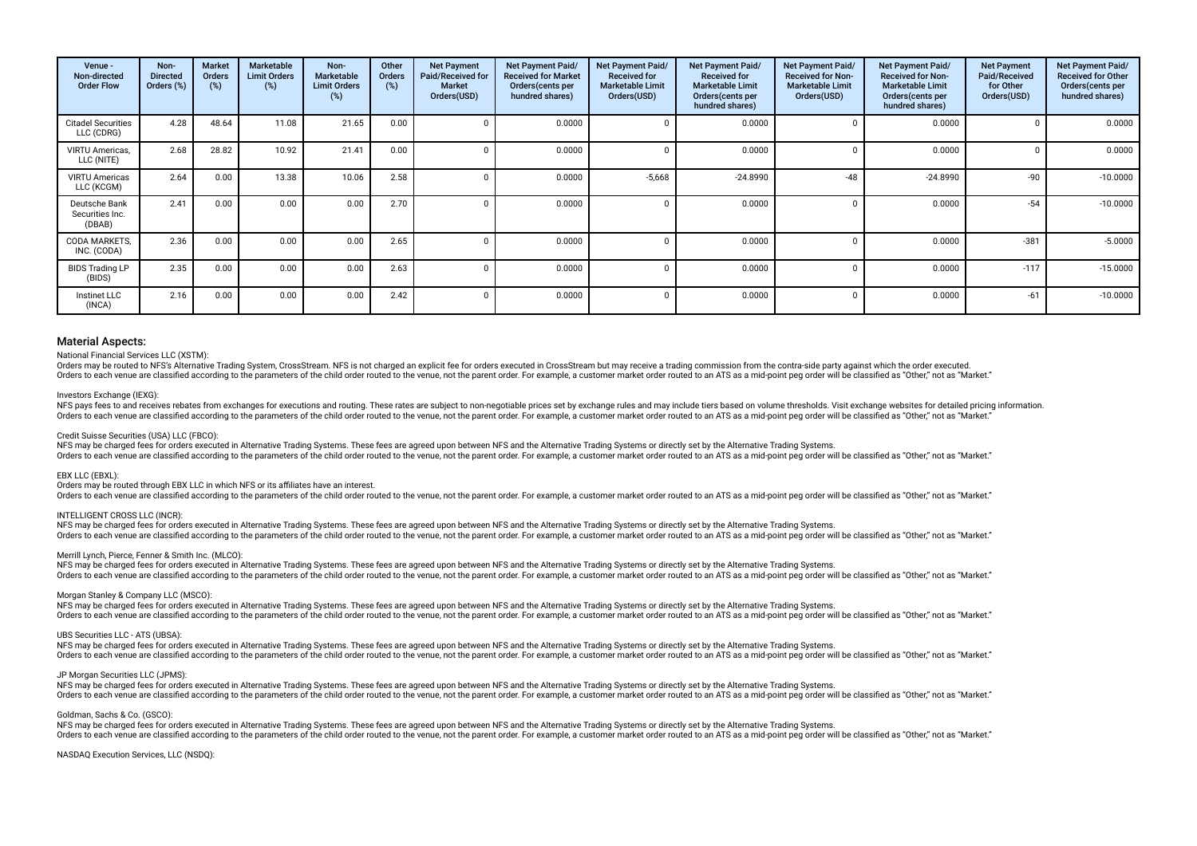| Venue -<br>Non-directed<br><b>Order Flow</b> | Non-<br><b>Directed</b><br>Orders (%) | <b>Market</b><br><b>Orders</b><br>(%) | Marketable<br><b>Limit Orders</b><br>(%) | Non-<br><b>Marketable</b><br><b>Limit Orders</b><br>(%) | Other<br><b>Orders</b><br>(%) | <b>Net Payment</b><br>Paid/Received for<br><b>Market</b><br>Orders(USD) | <b>Net Payment Paid/</b><br><b>Received for Market</b><br>Orders (cents per<br>hundred shares) | Net Payment Paid/<br><b>Received for</b><br><b>Marketable Limit</b><br>Orders(USD) | <b>Net Payment Paid/</b><br><b>Received for</b><br><b>Marketable Limit</b><br>Orders(cents per<br>hundred shares) | Net Payment Paid/<br><b>Received for Non-</b><br><b>Marketable Limit</b><br>Orders(USD) | <b>Net Payment Paid/</b><br><b>Received for Non-</b><br><b>Marketable Limit</b><br>Orders(cents per<br>hundred shares) | <b>Net Payment</b><br>Paid/Received<br>for Other<br>Orders(USD) | Net Payment Paid/<br><b>Received for Other</b><br>Orders(cents per<br>hundred shares) |
|----------------------------------------------|---------------------------------------|---------------------------------------|------------------------------------------|---------------------------------------------------------|-------------------------------|-------------------------------------------------------------------------|------------------------------------------------------------------------------------------------|------------------------------------------------------------------------------------|-------------------------------------------------------------------------------------------------------------------|-----------------------------------------------------------------------------------------|------------------------------------------------------------------------------------------------------------------------|-----------------------------------------------------------------|---------------------------------------------------------------------------------------|
| <b>Citadel Securities</b><br>LLC (CDRG)      | 4.28                                  | 48.64                                 | 11.08                                    | 21.65                                                   | 0.00                          |                                                                         | 0.0000                                                                                         |                                                                                    | 0.0000                                                                                                            |                                                                                         | 0.0000                                                                                                                 |                                                                 | 0.0000                                                                                |
| VIRTU Americas,<br>LLC (NITE)                | 2.68                                  | 28.82                                 | 10.92                                    | 21.41                                                   | 0.00                          |                                                                         | 0.0000                                                                                         |                                                                                    | 0.0000                                                                                                            |                                                                                         | 0.0000                                                                                                                 |                                                                 | 0.0000                                                                                |
| <b>VIRTU Americas</b><br>LLC (KCGM)          | 2.64                                  | 0.00                                  | 13.38                                    | 10.06                                                   | 2.58                          |                                                                         | 0.0000                                                                                         | $-5,668$                                                                           | $-24.8990$                                                                                                        | $-48$                                                                                   | $-24.8990$                                                                                                             | $-90$                                                           | $-10.0000$                                                                            |
| Deutsche Bank<br>Securities Inc.<br>(DBAB)   | 2.41                                  | 0.00                                  | 0.00                                     | 0.00                                                    | 2.70                          |                                                                         | 0.0000                                                                                         |                                                                                    | 0.0000                                                                                                            |                                                                                         | 0.0000                                                                                                                 | $-54$                                                           | $-10.0000$                                                                            |
| <b>CODA MARKETS.</b><br>INC. (CODA)          | 2.36                                  | 0.00                                  | 0.00                                     | 0.00                                                    | 2.65                          |                                                                         | 0.0000                                                                                         |                                                                                    | 0.0000                                                                                                            |                                                                                         | 0.0000                                                                                                                 | $-381$                                                          | $-5.0000$                                                                             |
| <b>BIDS Trading LP</b><br>(BIDS)             | 2.35                                  | 0.00                                  | 0.00                                     | 0.00                                                    | 2.63                          |                                                                         | 0.0000                                                                                         |                                                                                    | 0.0000                                                                                                            |                                                                                         | 0.0000                                                                                                                 | $-117$                                                          | $-15.0000$                                                                            |
| Instinet LLC<br>(INCA)                       | 2.16                                  | 0.00                                  | 0.00                                     | 0.00                                                    | 2.42                          |                                                                         | 0.0000                                                                                         |                                                                                    | 0.0000                                                                                                            |                                                                                         | 0.0000                                                                                                                 | $-61$                                                           | $-10.0000$                                                                            |

#### National Financial Services LLC (XSTM):

Orders may be routed to NFS's Alternative Trading System, CrossStream. NFS is not charged an explicit fee for orders executed in CrossStream but may receive a trading commission from the contra-side party against which the Orders to each venue are classified according to the parameters of the child order routed to the venue, not the parent order. For example, a customer market order routed to an ATS as a mid-point peg order will be classifie

#### Investors Exchange (IEXG):

NFS pays fees to and receives rebates from exchanges for executions and routing. These rates are subject to non-negotiable prices set by exchange rules and may include tiers based on volume thresholds. Visit exchange websi Orders to each venue are classified according to the parameters of the child order routed to the venue, not the parent order. For example, a customer market order routed to an ATS as a mid-point peg order will be classifie

#### Credit Suisse Securities (USA) LLC (FBCO):

NFS may be charged fees for orders executed in Alternative Trading Systems. These fees are agreed upon between NFS and the Alternative Trading Systems or directly set by the Alternative Trading Systems. Orders to each venue are classified according to the parameters of the child order routed to the venue, not the parent order. For example, a customer market order routed to an ATS as a mid-point peg order will be classifie

#### EBX LLC (EBXL):

Orders may be routed through EBX LLC in which NFS or its affiliates have an interest.

Orders to each venue are classified according to the parameters of the child order routed to the venue, not the parent order. For example, a customer market order routed to an ATS as a mid-point peg order will be classifie

#### INTELLIGENT CROSS LLC (INCR):

NFS may be charged fees for orders executed in Alternative Trading Systems. These fees are agreed upon between NFS and the Alternative Trading Systems or directly set by the Alternative Trading Systems. Orders to each venue are classified according to the parameters of the child order routed to the venue, not the parent order. For example, a customer market order routed to an ATS as a mid-point peq order will be classifie

#### Merrill Lynch, Pierce, Fenner & Smith Inc. (MLCO):

NFS may be charged fees for orders executed in Alternative Trading Systems. These fees are agreed upon between NFS and the Alternative Trading Systems or directly set by the Alternative Trading Systems or directly set by t Orders to each venue are classified according to the parameters of the child order routed to the venue, not the parent order. For example, a customer market order routed to an ATS as a mid-point peg order will be classifie

#### Morgan Stanley & Company LLC (MSCO):

NFS may be charged fees for orders executed in Alternative Trading Systems. These fees are agreed upon between NFS and the Alternative Trading Systems or directly set by the Alternative Trading Systems. Orders to each venue are classified according to the parameters of the child order routed to the venue, not the parent order. For example, a customer market order routed to an ATS as a mid-point peg order will be classifie

#### UBS Securities LLC - ATS (UBSA):

NFS may be charged fees for orders executed in Alternative Trading Systems. These fees are agreed upon between NFS and the Alternative Trading Systems or directly set by the Alternative Trading Systems. Orders to each venue are classified according to the parameters of the child order routed to the venue, not the parent order. For example, a customer market order routed to an ATS as a mid-point peg order will be classifie

#### JP Morgan Securities LLC (JPMS):

NFS may be charged fees for orders executed in Alternative Trading Systems. These fees are agreed upon between NFS and the Alternative Trading Systems or directly set by the Alternative Trading Systems. Orders to each venue are classified according to the parameters of the child order routed to the venue, not the parent order. For example, a customer market order routed to an ATS as a mid-point peg order will be classifie

#### Goldman, Sachs & Co. (GSCO):

NFS may be charged fees for orders executed in Alternative Trading Systems. These fees are agreed upon between NFS and the Alternative Trading Systems or directly set by the Alternative Trading Systems. Orders to each venue are classified according to the parameters of the child order routed to the venue, not the parent order. For example, a customer market order routed to an ATS as a mid-point peg order will be classifie

#### NASDAQ Execution Services, LLC (NSDQ):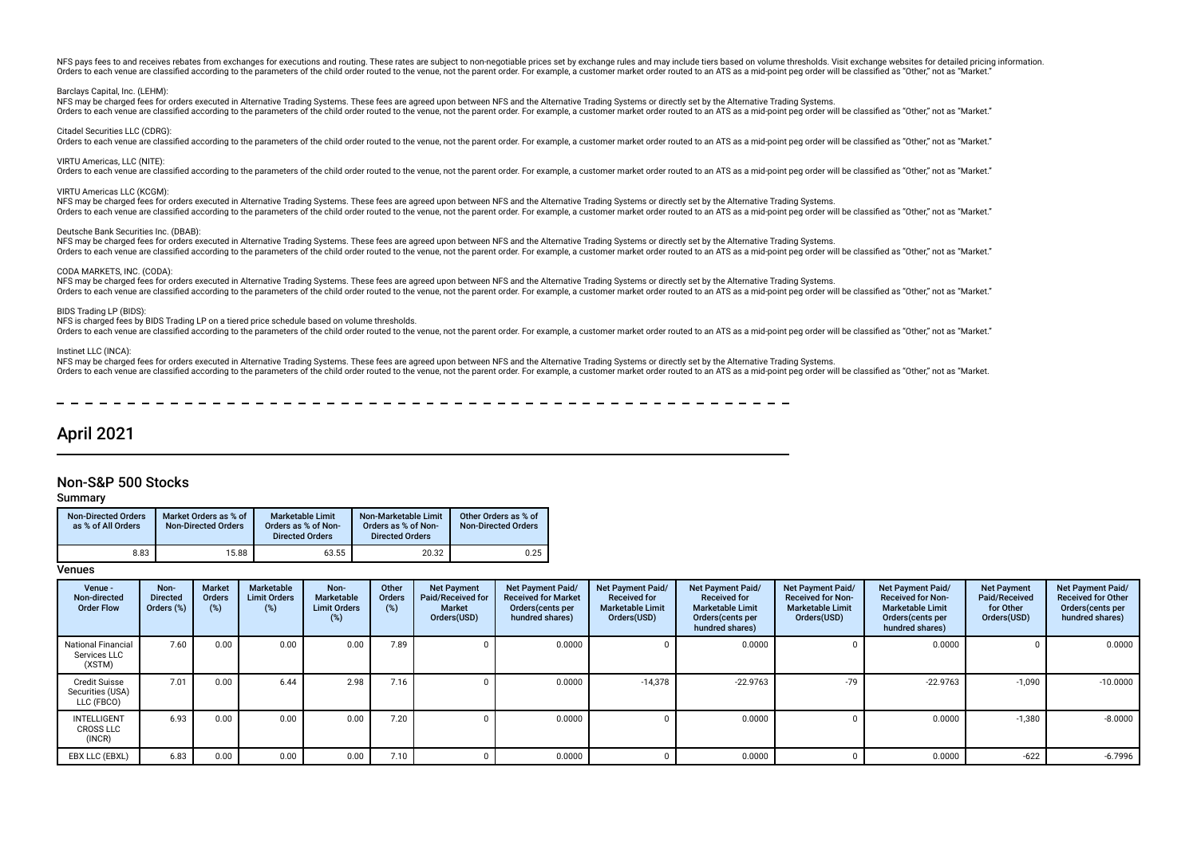NFS pays fees to and receives rebates from exchanges for executions and routing. These rates are subject to non-negotiable prices set by exchange rules and may include tiers based on volume thresholds. Visit exchange websi Orders to each venue are classified according to the parameters of the child order routed to the venue, not the parent order. For example, a customer market order routed to an ATS as a mid-point peg order will be classifie

#### Barclays Capital, Inc. (LEHM):

NFS may be charged fees for orders executed in Alternative Trading Systems. These fees are agreed upon between NFS and the Alternative Trading Systems or directly set by the Alternative Trading Systems. Orders to each venue are classified according to the parameters of the child order routed to the venue, not the parent order. For example, a customer market order routed to an ATS as a mid-point peg order will be classifie

Citadel Securities LLC (CDRG):

Orders to each venue are classified according to the parameters of the child order routed to the venue, not the parent order. For example, a customer market order routed to an ATS as a mid-point peg order will be classifie

#### VIRTU Americas, LLC (NITE):

Orders to each venue are classified according to the parameters of the child order routed to the venue, not the parent order. For example, a customer market order routed to an ATS as a mid-point peg order will be classifie

#### VIRTU Americas LLC (KCGM):

NFS may be charged fees for orders executed in Alternative Trading Systems. These fees are agreed upon between NFS and the Alternative Trading Systems or directly set by the Alternative Trading Systems or directly set by t Orders to each venue are classified according to the parameters of the child order routed to the venue, not the parent order. For example, a customer market order routed to an ATS as a mid-point peg order will be classifie

#### Deutsche Bank Securities Inc. (DBAB):

NFS may be charged fees for orders executed in Alternative Trading Systems. These fees are agreed upon between NFS and the Alternative Trading Systems or directly set by the Alternative Trading Systems. Orders to each venue are classified according to the parameters of the child order routed to the venue, not the parent order. For example, a customer market order routed to an ATS as a mid-point peg order will be classifie

#### CODA MARKETS, INC. (CODA):

NFS may be charged fees for orders executed in Alternative Trading Systems. These fees are agreed upon between NFS and the Alternative Trading Systems or directly set by the Alternative Trading Systems. Orders to each venue are classified according to the parameters of the child order routed to the venue, not the parent order. For example, a customer market order routed to an ATS as a mid-point peq order will be classifie

#### BIDS Trading LP (BIDS):

NFS is charged fees by BIDS Trading LP on a tiered price schedule based on volume thresholds.

Orders to each venue are classified according to the parameters of the child order routed to the venue, not the parent order. For example, a customer market order routed to an ATS as a mid-point peg order will be classifie

#### Instinet LLC (INCA):

NFS may be charged fees for orders executed in Alternative Trading Systems. These fees are agreed upon between NFS and the Alternative Trading Systems or directly set by the Alternative Trading Systems or directly set by t Orders to each venue are classified according to the parameters of the child order routed to the venue, not the parent order. For example, a customer market order routed to an ATS as a mid-point peg order will be classifie

## April 2021

## Non-S&P 500 Stocks

#### Summary

| <b>Non-Directed Orders</b><br>as % of All Orders | Market Orders as % of<br><b>Non-Directed Orders</b> | <b>Marketable Limit</b><br>Orders as % of Non-<br><b>Directed Orders</b> | Non-Marketable Limit<br>Orders as % of Non-<br><b>Directed Orders</b> | Other Orders as % of<br><b>Non-Directed Orders</b> |
|--------------------------------------------------|-----------------------------------------------------|--------------------------------------------------------------------------|-----------------------------------------------------------------------|----------------------------------------------------|
| 8.83                                             | 15.88                                               | 63.55                                                                    | 20.32                                                                 | 0.25                                               |

| Venue -<br>Non-directed<br><b>Order Flow</b>           | Non-<br><b>Directed</b><br>Orders (%) | <b>Market</b><br><b>Orders</b><br>(%) | Marketable<br><b>Limit Orders</b><br>(%) | Non-<br>Marketable<br><b>Limit Orders</b><br>(%) | Other<br><b>Orders</b><br>(%) | <b>Net Payment</b><br>Paid/Received for<br><b>Market</b><br>Orders(USD) | <b>Net Payment Paid/</b><br><b>Received for Market</b><br>Orders(cents per<br>hundred shares) | Net Payment Paid/<br><b>Received for</b><br><b>Marketable Limit</b><br>Orders(USD) | Net Payment Paid/<br><b>Received for</b><br><b>Marketable Limit</b><br>Orders(cents per<br>hundred shares) | <b>Net Payment Paid/</b><br><b>Received for Non-</b><br><b>Marketable Limit</b><br>Orders(USD) | Net Payment Paid/<br><b>Received for Non-</b><br><b>Marketable Limit</b><br>Orders(cents per<br>hundred shares) | <b>Net Payment</b><br>Paid/Received<br>for Other<br>Orders(USD) | Net Payment Paid/<br><b>Received for Other</b><br>Orders(cents per<br>hundred shares) |
|--------------------------------------------------------|---------------------------------------|---------------------------------------|------------------------------------------|--------------------------------------------------|-------------------------------|-------------------------------------------------------------------------|-----------------------------------------------------------------------------------------------|------------------------------------------------------------------------------------|------------------------------------------------------------------------------------------------------------|------------------------------------------------------------------------------------------------|-----------------------------------------------------------------------------------------------------------------|-----------------------------------------------------------------|---------------------------------------------------------------------------------------|
| <b>National Financial</b><br>Services LLC<br>(XSTM)    | 7.60                                  | 0.00                                  | 0.00                                     | 0.00                                             | 7.89                          |                                                                         | 0.0000                                                                                        |                                                                                    | 0.0000                                                                                                     |                                                                                                | 0.0000                                                                                                          |                                                                 | 0.0000                                                                                |
| <b>Credit Suisse</b><br>Securities (USA)<br>LLC (FBCO) | 7.01                                  | 0.00                                  | 6.44                                     | 2.98                                             | 7.16                          |                                                                         | 0.0000                                                                                        | $-14,378$                                                                          | $-22.9763$                                                                                                 | $-79$                                                                                          | $-22.9763$                                                                                                      | $-1,090$                                                        | $-10.0000$                                                                            |
| <b>INTELLIGENT</b><br><b>CROSS LLC</b><br>(INCR)       | 6.93                                  | 0.00                                  | 0.00                                     | 0.00                                             | 7.20                          |                                                                         | 0.0000                                                                                        |                                                                                    | 0.0000                                                                                                     |                                                                                                | 0.0000                                                                                                          | $-1,380$                                                        | $-8.0000$                                                                             |
| EBX LLC (EBXL)                                         | 6.83                                  | 0.00                                  | 0.00                                     | 0.00                                             | 7.10                          |                                                                         | 0.0000                                                                                        |                                                                                    | 0.0000                                                                                                     |                                                                                                | 0.0000                                                                                                          | $-622$                                                          | -6.7996                                                                               |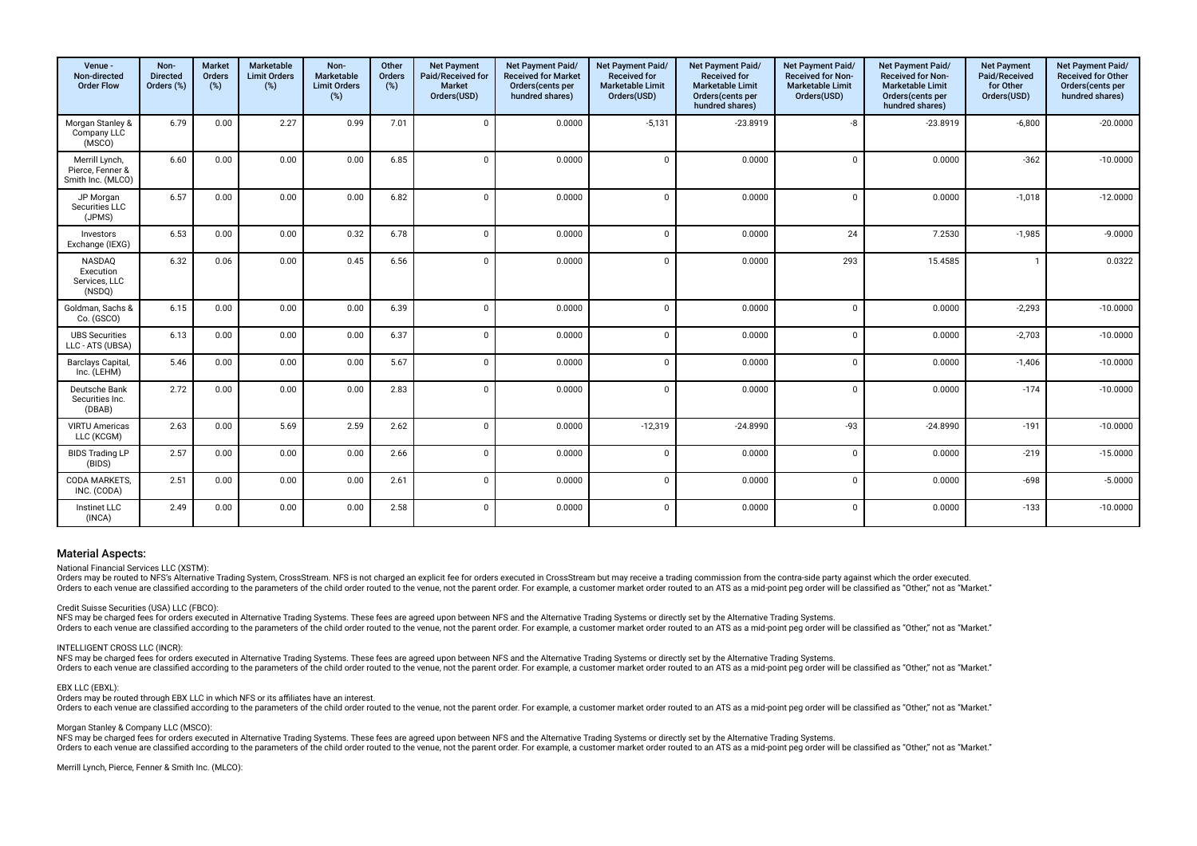| Venue -<br>Non-directed<br><b>Order Flow</b>            | Non-<br><b>Directed</b><br>Orders (%) | <b>Market</b><br>Orders<br>(%) | Marketable<br><b>Limit Orders</b><br>(%) | Non-<br>Marketable<br><b>Limit Orders</b><br>(%) | Other<br>Orders<br>(%) | <b>Net Payment</b><br>Paid/Received for<br>Market<br>Orders(USD) | Net Payment Paid/<br><b>Received for Market</b><br>Orders(cents per<br>hundred shares) | Net Payment Paid/<br><b>Received for</b><br><b>Marketable Limit</b><br>Orders(USD) | Net Payment Paid/<br>Received for<br><b>Marketable Limit</b><br>Orders(cents per<br>hundred shares) | Net Payment Paid/<br>Received for Non-<br><b>Marketable Limit</b><br>Orders(USD) | Net Payment Paid/<br>Received for Non-<br>Marketable Limit<br>Orders(cents per<br>hundred shares) | <b>Net Payment</b><br>Paid/Received<br>for Other<br>Orders(USD) | Net Payment Paid/<br>Received for Other<br>Orders(cents per<br>hundred shares) |
|---------------------------------------------------------|---------------------------------------|--------------------------------|------------------------------------------|--------------------------------------------------|------------------------|------------------------------------------------------------------|----------------------------------------------------------------------------------------|------------------------------------------------------------------------------------|-----------------------------------------------------------------------------------------------------|----------------------------------------------------------------------------------|---------------------------------------------------------------------------------------------------|-----------------------------------------------------------------|--------------------------------------------------------------------------------|
| Morgan Stanley &<br>Company LLC<br>(MSCO)               | 6.79                                  | 0.00                           | 2.27                                     | 0.99                                             | 7.01                   | $\Omega$                                                         | 0.0000                                                                                 | $-5,131$                                                                           | $-23.8919$                                                                                          | -8                                                                               | $-23.8919$                                                                                        | $-6,800$                                                        | $-20.0000$                                                                     |
| Merrill Lynch,<br>Pierce, Fenner &<br>Smith Inc. (MLCO) | 6.60                                  | 0.00                           | 0.00                                     | 0.00                                             | 6.85                   | $\Omega$                                                         | 0.0000                                                                                 | $\Omega$                                                                           | 0.0000                                                                                              | $\Omega$                                                                         | 0.0000                                                                                            | $-362$                                                          | $-10.0000$                                                                     |
| JP Morgan<br>Securities LLC<br>(JPMS)                   | 6.57                                  | 0.00                           | 0.00                                     | 0.00                                             | 6.82                   | $\Omega$                                                         | 0.0000                                                                                 | $\Omega$                                                                           | 0.0000                                                                                              | $\Omega$                                                                         | 0.0000                                                                                            | $-1,018$                                                        | $-12.0000$                                                                     |
| Investors<br>Exchange (IEXG)                            | 6.53                                  | 0.00                           | 0.00                                     | 0.32                                             | 6.78                   | ſ                                                                | 0.0000                                                                                 | $\mathbf 0$                                                                        | 0.0000                                                                                              | 24                                                                               | 7.2530                                                                                            | $-1,985$                                                        | $-9.0000$                                                                      |
| NASDAQ<br>Execution<br>Services, LLC<br>(NSDQ)          | 6.32                                  | 0.06                           | 0.00                                     | 0.45                                             | 6.56                   | $\Omega$                                                         | 0.0000                                                                                 | $\mathbf 0$                                                                        | 0.0000                                                                                              | 293                                                                              | 15.4585                                                                                           |                                                                 | 0.0322                                                                         |
| Goldman, Sachs &<br>Co. (GSCO)                          | 6.15                                  | 0.00                           | 0.00                                     | 0.00                                             | 6.39                   | $\Omega$                                                         | 0.0000                                                                                 | $\mathbf{0}$                                                                       | 0.0000                                                                                              | $\Omega$                                                                         | 0.0000                                                                                            | $-2,293$                                                        | $-10.0000$                                                                     |
| <b>UBS Securities</b><br>LLC - ATS (UBSA)               | 6.13                                  | 0.00                           | 0.00                                     | 0.00                                             | 6.37                   | $\Omega$                                                         | 0.0000                                                                                 | $\mathbf{0}$                                                                       | 0.0000                                                                                              | $\mathbf 0$                                                                      | 0.0000                                                                                            | $-2,703$                                                        | $-10.0000$                                                                     |
| Barclays Capital,<br>Inc. (LEHM)                        | 5.46                                  | 0.00                           | 0.00                                     | 0.00                                             | 5.67                   | $\Omega$                                                         | 0.0000                                                                                 | $\Omega$                                                                           | 0.0000                                                                                              | $\Omega$                                                                         | 0.0000                                                                                            | $-1,406$                                                        | $-10.0000$                                                                     |
| Deutsche Bank<br>Securities Inc.<br>(DBAB)              | 2.72                                  | 0.00                           | 0.00                                     | 0.00                                             | 2.83                   | $\Omega$                                                         | 0.0000                                                                                 | $\mathbf{0}$                                                                       | 0.0000                                                                                              | $\Omega$                                                                         | 0.0000                                                                                            | $-174$                                                          | $-10.0000$                                                                     |
| <b>VIRTU Americas</b><br>LLC (KCGM)                     | 2.63                                  | 0.00                           | 5.69                                     | 2.59                                             | 2.62                   | $\Omega$                                                         | 0.0000                                                                                 | $-12,319$                                                                          | $-24.8990$                                                                                          | $-93$                                                                            | $-24.8990$                                                                                        | $-191$                                                          | $-10.0000$                                                                     |
| <b>BIDS Trading LP</b><br>(BIDS)                        | 2.57                                  | 0.00                           | 0.00                                     | 0.00                                             | 2.66                   | $\Omega$                                                         | 0.0000                                                                                 | $\mathbf{0}$                                                                       | 0.0000                                                                                              | $\Omega$                                                                         | 0.0000                                                                                            | $-219$                                                          | $-15.0000$                                                                     |
| CODA MARKETS.<br>INC. (CODA)                            | 2.51                                  | 0.00                           | 0.00                                     | 0.00                                             | 2.61                   | $\Omega$                                                         | 0.0000                                                                                 | $\mathbf 0$                                                                        | 0.0000                                                                                              | $\Omega$                                                                         | 0.0000                                                                                            | $-698$                                                          | $-5.0000$                                                                      |
| <b>Instinet LLC</b><br>(INCA)                           | 2.49                                  | 0.00                           | 0.00                                     | 0.00                                             | 2.58                   | $\Omega$                                                         | 0.0000                                                                                 | $\mathbf{0}$                                                                       | 0.0000                                                                                              | $\Omega$                                                                         | 0.0000                                                                                            | $-133$                                                          | $-10.0000$                                                                     |

#### National Financial Services LLC (XSTM):

Orders may be routed to NFS's Alternative Trading System, CrossStream. NFS is not charged an explicit fee for orders executed in CrossStream but may receive a trading commission from the contra-side party against which the Orders to each venue are classified according to the parameters of the child order routed to the venue, not the parent order. For example, a customer market order routed to an ATS as a mid-point peg order will be classifie

#### Credit Suisse Securities (USA) LLC (FBCO):

NFS may be charged fees for orders executed in Alternative Trading Systems. These fees are agreed upon between NFS and the Alternative Trading Systems or directly set by the Alternative Trading Systems. Orders to each venue are classified according to the parameters of the child order routed to the venue, not the parent order. For example, a customer market order routed to an ATS as a mid-point peg order will be classifie

#### INTELLIGENT CROSS LLC (INCR):

NFS may be charged fees for orders executed in Alternative Trading Systems. These fees are agreed upon between NFS and the Alternative Trading Systems or directly set by the Alternative Trading Systems or directly set by t Orders to each venue are classified according to the parameters of the child order routed to the venue, not the parent order. For example, a customer market order routed to an ATS as a mid-point peq order will be classifie

#### EBX LLC (EBXL):

Orders may be routed through EBX LLC in which NFS or its affiliates have an interest.

Orders to each venue are classified according to the parameters of the child order routed to the venue, not the parent order. For example, a customer market order routed to an ATS as a mid-point peg order will be classifie

#### Morgan Stanley & Company LLC (MSCO):

NFS may be charged fees for orders executed in Alternative Trading Systems. These fees are agreed upon between NFS and the Alternative Trading Systems or directly set by the Alternative Trading Systems or directly set by t Orders to each venue are classified according to the parameters of the child order routed to the venue, not the parent order. For example, a customer market order routed to an ATS as a mid-point peg order will be classifie

Merrill Lynch, Pierce, Fenner & Smith Inc. (MLCO):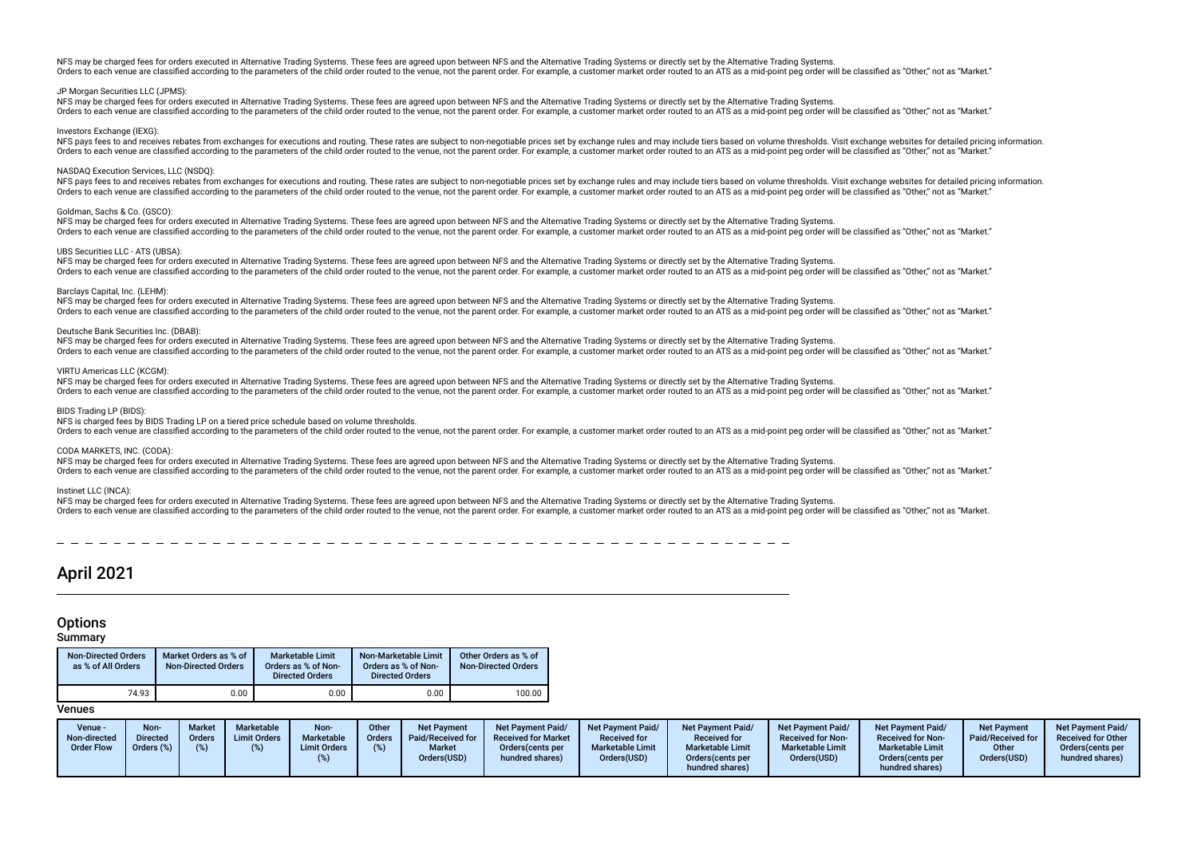NFS may be charged fees for orders executed in Alternative Trading Systems. These fees are agreed upon between NFS and the Alternative Trading Systems or directly set by the Alternative Trading Systems. Orders to each venue are classified according to the parameters of the child order routed to the venue, not the parent order. For example, a customer market order routed to an ATS as a mid-noint peg order will be classifie

#### JP Morgan Securities LLC (JPMS):

NFS may be charged fees for orders executed in Alternative Trading Systems. These fees are agreed upon between NFS and the Alternative Trading Systems or directly set by the Alternative Trading Systems. Orders to each venue are classified according to the parameters of the child order routed to the venue, not the parent order. For example, a customer market order routed to an ATS as a mid-point peg order will be classifie

#### Investors Exchange (IEXG)

NFS pays fees to and receives rebates from exchanges for executions and routing. These rates are subject to non-negotiable prices set by exchange rules and may include tiers based on yolume thresholds. Visit exchange websi Orders to each venue are classified according to the parameters of the child order routed to the venue, not the parent order. For example, a customer market order routed to an ATS as a mid-point peg order will be classifie

#### NASDAQ Execution Services, LLC (NSDQ):

NFS pays fees to and receives rebates from exchanges for executions and routing. These rates are subject to non-negotiable prices set by exchange rules and may include tiers based on yolume thresholds. Visit exchange websi Orders to each venue are classified according to the parameters of the child order routed to the venue, not the parent order. For example, a customer market order routed to an ATS as a mid-point peg order will be classifie

#### Goldman, Sachs & Co. (GSCO):

NFS may be charged fees for orders executed in Alternative Trading Systems. These fees are agreed upon between NFS and the Alternative Trading Systems or directly set by the Alternative Trading Systems. Orders to each venue are classified according to the parameters of the child order routed to the venue, not the parent order. For example, a customer market order routed to an ATS as a mid-point peg order will be classifie

#### UBS Securities LLC - ATS (UBSA):

NFS may be charged fees for orders executed in Alternative Trading Systems. These fees are agreed upon between NFS and the Alternative Trading Systems or directly set by the Alternative Trading Systems. Orders to each venue are classified according to the parameters of the child order routed to the venue, not the parent order. For example, a customer market order routed to an ATS as a mid-point peg order will be classifie

#### Barclays Capital, Inc. (LEHM):

NFS may be charged fees for orders executed in Alternative Trading Systems. These fees are agreed upon between NFS and the Alternative Trading Systems or directly set by the Alternative Trading Systems. Orders to each venue are classified according to the parameters of the child order routed to the venue, not the parent order. For example, a customer market order routed to an ATS as a mid-noint peg order will be classifie

#### Deutsche Bank Securities Inc. (DBAB):

NFS may be charged fees for orders executed in Alternative Trading Systems. These fees are agreed upon between NFS and the Alternative Trading Systems or directly set by the Alternative Trading Systems. Orders to each venue are classified according to the parameters of the child order routed to the venue, not the parent order. For example, a customer market order routed to an ATS as a mid-point peg order will be classifie

#### VIRTU Americas LLC (KCGM):

NFS may be charged fees for orders executed in Alternative Trading Systems. These fees are agreed upon between NFS and the Alternative Trading Systems or directly set by the Alternative Trading Systems or directly set by t Orders to each venue are classified according to the parameters of the child order routed to the venue, not the parent order. For example, a customer market order routed to an ATS as a mid-point peg order will be classifie

#### BIDS Trading LP (BIDS)

NFS is charged fees by BIDS Trading LP on a tiered price schedule based on volume thresholds.

Orders to each venue are classified according to the parameters of the child order routed to the venue, not the parent order. For example, a customer market order routed to an ATS as a mid-point peg order will be classifie

#### CODA MARKETS, INC. (CODA):

NFS may be charged fees for orders executed in Alternative Trading Systems. These fees are agreed upon between NFS and the Alternative Trading Systems or directly set by the Alternative Trading Systems. The saided according to the parameters of the child order routed to the yenue not the parameter Soft and the version of the version of the parameter of the version of the school of the version of the school of the paramete

#### Instinet LLC (INCA):

NFS may be charged fees for orders executed in Alternative Trading Systems. These fees are agreed upon between NFS and the Alternative Trading Systems or directly set by the Alternative Trading Systems. Orders to each venue are classified according to the parameters of the child order routed to the venue, not the parent order. For example, a customer market order routed to an ATS as a mid-point peg order will be classifie

## April 2021

## **Options**

#### **Summary**

| <b>Non-Directed Orders</b><br>as % of All Orders | Market Orders as % of<br><b>Non-Directed Orders</b> | <b>Marketable Limit</b><br>Orders as % of Non-<br><b>Directed Orders</b> | Non-Marketable Limit<br>Orders as % of Non-<br><b>Directed Orders</b> | Other Orders as % of<br><b>Non-Directed Orders</b> |
|--------------------------------------------------|-----------------------------------------------------|--------------------------------------------------------------------------|-----------------------------------------------------------------------|----------------------------------------------------|
| 74.93                                            | 0.00                                                | 0.00                                                                     | $0.00\,$                                                              | 100.00                                             |

| Venue -<br>Non-directed<br><b>Order Flow</b> | Non-<br><b>Directed</b><br>Orders (%) | <b>Market</b><br><b>Orders</b><br>(% ) | <b>Marketable</b><br><b>Limit Orders</b> | Non-<br>Marketable<br><b>Limit Orders</b> | Other<br>Orders<br>(%) | Net Payment<br>Paid/Received for<br><b>Market</b><br>Orders(USD) | Net Payment Paid/<br><b>Received for Market</b><br>Orders (cents per<br>hundred shares) | <b>Net Payment Paid/</b><br><b>Received for</b><br><b>Marketable Limit</b><br>Orders(USD) | <b>Net Payment Paid/</b><br><b>Received for</b><br><b>Marketable Limit</b><br>Orders(cents per<br>hundred shares) | Net Payment Paid/<br><b>Received for Non-</b><br><b>Marketable Limit</b><br>Orders(USD) | <b>Net Payment Paid/</b><br><b>Received for Non-</b><br><b>Marketable Limit</b><br>Orders(cents per<br>hundred shares) | <b>Net Payment</b><br>Paid/Received for<br>Other<br>Orders(USD) | Net Payment Paid/<br><b>Received for Other</b><br>Orders (cents per<br>hundred shares) |
|----------------------------------------------|---------------------------------------|----------------------------------------|------------------------------------------|-------------------------------------------|------------------------|------------------------------------------------------------------|-----------------------------------------------------------------------------------------|-------------------------------------------------------------------------------------------|-------------------------------------------------------------------------------------------------------------------|-----------------------------------------------------------------------------------------|------------------------------------------------------------------------------------------------------------------------|-----------------------------------------------------------------|----------------------------------------------------------------------------------------|
|----------------------------------------------|---------------------------------------|----------------------------------------|------------------------------------------|-------------------------------------------|------------------------|------------------------------------------------------------------|-----------------------------------------------------------------------------------------|-------------------------------------------------------------------------------------------|-------------------------------------------------------------------------------------------------------------------|-----------------------------------------------------------------------------------------|------------------------------------------------------------------------------------------------------------------------|-----------------------------------------------------------------|----------------------------------------------------------------------------------------|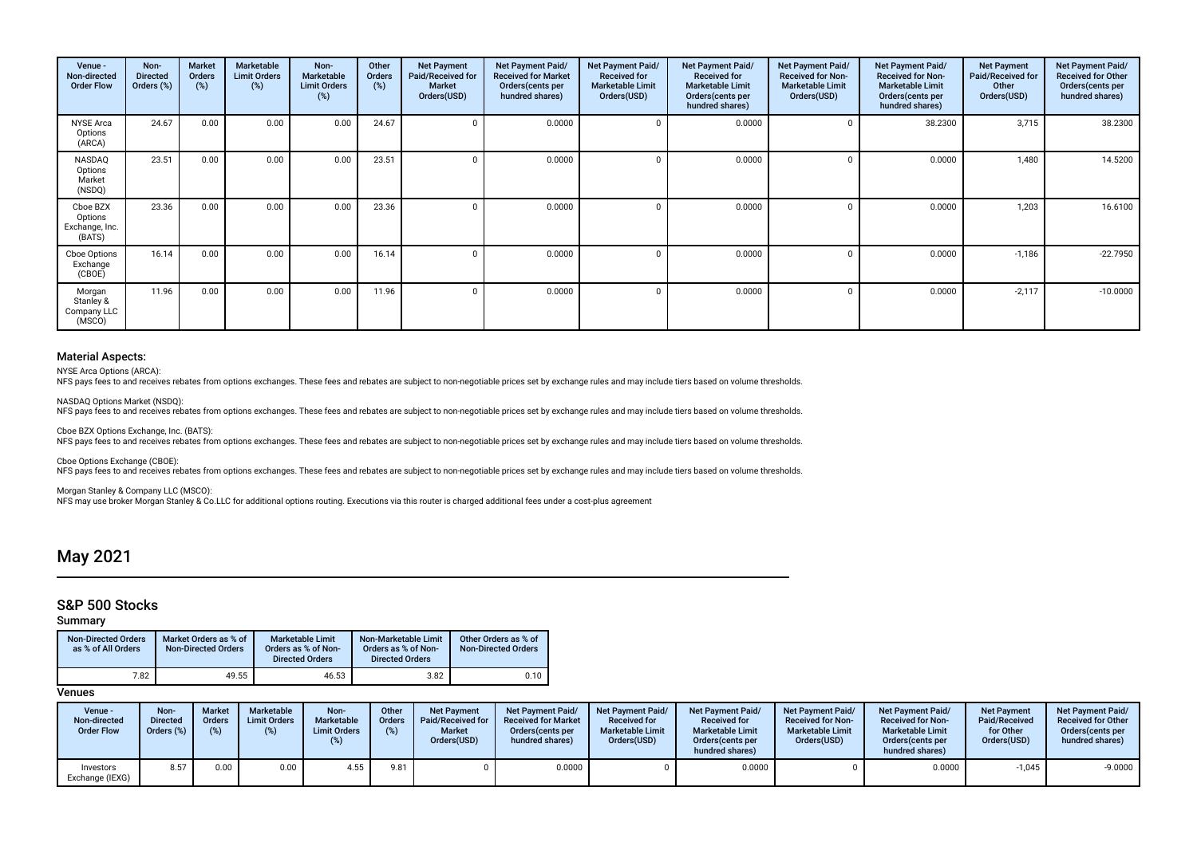| Venue -<br>Non-directed<br><b>Order Flow</b>    | Non-<br><b>Directed</b><br>Orders (%) | Market<br><b>Orders</b><br>$(\%)$ | Marketable<br><b>Limit Orders</b><br>(%) | Non-<br><b>Marketable</b><br><b>Limit Orders</b><br>(%) | Other<br>Orders<br>(%) | <b>Net Payment</b><br>Paid/Received for<br><b>Market</b><br>Orders(USD) | <b>Net Payment Paid/</b><br><b>Received for Market</b><br>Orders (cents per<br>hundred shares) | Net Payment Paid/<br><b>Received for</b><br><b>Marketable Limit</b><br>Orders(USD) | Net Payment Paid/<br><b>Received for</b><br><b>Marketable Limit</b><br>Orders(cents per<br>hundred shares) | Net Payment Paid/<br><b>Received for Non-</b><br><b>Marketable Limit</b><br>Orders(USD) | Net Payment Paid/<br><b>Received for Non-</b><br><b>Marketable Limit</b><br>Orders (cents per<br>hundred shares) | <b>Net Payment</b><br>Paid/Received for<br>Other<br>Orders(USD) | Net Payment Paid/<br><b>Received for Other</b><br>Orders (cents per<br>hundred shares) |
|-------------------------------------------------|---------------------------------------|-----------------------------------|------------------------------------------|---------------------------------------------------------|------------------------|-------------------------------------------------------------------------|------------------------------------------------------------------------------------------------|------------------------------------------------------------------------------------|------------------------------------------------------------------------------------------------------------|-----------------------------------------------------------------------------------------|------------------------------------------------------------------------------------------------------------------|-----------------------------------------------------------------|----------------------------------------------------------------------------------------|
| <b>NYSE</b> Arca<br>Options<br>(ARCA)           | 24.67                                 | 0.00                              | 0.00                                     | 0.00                                                    | 24.67                  |                                                                         | 0.0000                                                                                         |                                                                                    | 0.0000                                                                                                     |                                                                                         | 38.2300                                                                                                          | 3,715                                                           | 38.2300                                                                                |
| NASDAQ<br>Options<br>Market<br>(NSDQ)           | 23.51                                 | 0.00                              | 0.00                                     | 0.00                                                    | 23.51                  |                                                                         | 0.0000                                                                                         |                                                                                    | 0.0000                                                                                                     |                                                                                         | 0.0000                                                                                                           | 1.480                                                           | 14.5200                                                                                |
| Cboe BZX<br>Options<br>Exchange, Inc.<br>(BATS) | 23.36                                 | 0.00                              | 0.00                                     | 0.00                                                    | 23.36                  |                                                                         | 0.0000                                                                                         |                                                                                    | 0.0000                                                                                                     |                                                                                         | 0.0000                                                                                                           | 1,203                                                           | 16.6100                                                                                |
| Cboe Options<br>Exchange<br>(CBOE)              | 16.14                                 | 0.00                              | 0.00                                     | 0.00                                                    | 16.14                  |                                                                         | 0.0000                                                                                         |                                                                                    | 0.0000                                                                                                     |                                                                                         | 0.0000                                                                                                           | $-1,186$                                                        | $-22.7950$                                                                             |
| Morgan<br>Stanley &<br>Company LLC<br>(MSCO)    | 11.96                                 | 0.00                              | 0.00                                     | 0.00                                                    | 11.96                  |                                                                         | 0.0000                                                                                         |                                                                                    | 0.0000                                                                                                     |                                                                                         | 0.0000                                                                                                           | $-2,117$                                                        | $-10.0000$                                                                             |

NYSE Arca Options (ARCA):

NFS pays fees to and receives rebates from options exchanges. These fees and rebates are subject to non-negotiable prices set by exchange rules and may include tiers based on volume thresholds.

NASDAQ Options Market (NSDQ): NFS pays fees to and receives rebates from options exchanges. These fees and rebates are subject to non-negotiable prices set by exchange rules and may include tiers based on volume thresholds.

Cboe BZX Options Exchange, Inc. (BATS): NFS pays fees to and receives rebates from options exchanges. These fees and rebates are subject to non-negotiable prices set by exchange rules and may include tiers based on volume thresholds.

Cboe Options Exchange (CBOE): NFS pays fees to and receives rebates from options exchanges. These fees and rebates are subject to non-negotiable prices set by exchange rules and may include tiers based on volume thresholds.

Morgan Stanley & Company LLC (MSCO): NFS may use broker Morgan Stanley & Co.LLC for additional options routing. Executions via this router is charged additional fees under a cost-plus agreement

## May 2021

## S&P 500 Stocks

### Summary

| <b>Non-Directed Orders</b><br>as % of All Orders | Market Orders as % of<br><b>Non-Directed Orders</b> | <b>Marketable Limit</b><br>Orders as % of Non-<br><b>Directed Orders</b> | Non-Marketable Limit<br>Orders as % of Non-<br><b>Directed Orders</b> | Other Orders as % of<br><b>Non-Directed Orders</b> |
|--------------------------------------------------|-----------------------------------------------------|--------------------------------------------------------------------------|-----------------------------------------------------------------------|----------------------------------------------------|
| 7.82                                             | 49.55                                               | 46.53                                                                    | 3.82                                                                  | 0.10                                               |

| Venue -<br>Non-directed<br><b>Order Flow</b> | Non-<br><b>Directed</b><br>Orders $(\%)$ | <b>Market</b><br><b>Orders</b> | <b>Marketable</b><br><b>Limit Orders</b><br>(%) | Non-<br><b>Marketable</b><br><b>Limit Orders</b> | Other<br>Orders | <b>Net Payment</b><br>Paid/Received for<br><b>Market</b><br>Orders(USD) | <b>Net Payment Paid/</b><br><b>Received for Market</b><br>Orders (cents per<br>hundred shares) | Net Payment Paid/<br><b>Received for</b><br><b>Marketable Limit</b><br>Orders(USD) | <b>Net Payment Paid/</b><br><b>Received for</b><br><b>Marketable Limit</b><br>Orders (cents per<br>hundred shares) | <b>Net Payment Paid/</b><br><b>Received for Non-</b><br><b>Marketable Limit</b><br>Orders(USD) | <b>Net Payment Paid/</b><br><b>Received for Non-</b><br><b>Marketable Limit</b><br>Orders (cents per<br>hundred shares) | <b>Net Payment</b><br>Paid/Received<br>for Other<br>Orders(USD) | <b>Net Payment Paid/</b><br><b>Received for Other</b><br>Orders(cents per<br>hundred shares) |
|----------------------------------------------|------------------------------------------|--------------------------------|-------------------------------------------------|--------------------------------------------------|-----------------|-------------------------------------------------------------------------|------------------------------------------------------------------------------------------------|------------------------------------------------------------------------------------|--------------------------------------------------------------------------------------------------------------------|------------------------------------------------------------------------------------------------|-------------------------------------------------------------------------------------------------------------------------|-----------------------------------------------------------------|----------------------------------------------------------------------------------------------|
| Investors<br>Exchange (IEXG)                 | 8.57                                     | 0.00                           | 0.00                                            | 4.55                                             | 9.81            |                                                                         | 0.0000                                                                                         |                                                                                    | 0.0000                                                                                                             |                                                                                                | 0.0000                                                                                                                  | $-1,045$                                                        | $-9.0000$                                                                                    |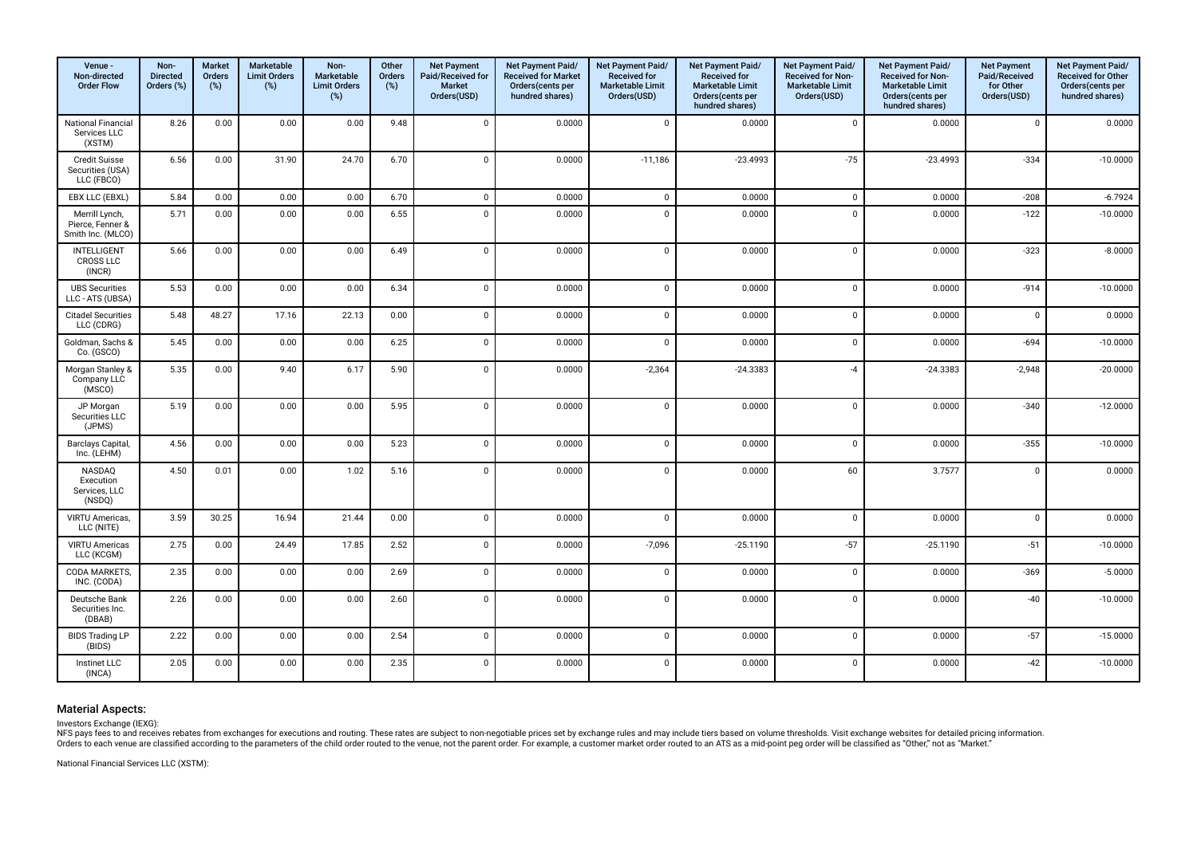| Venue -<br>Non-directed<br><b>Order Flow</b>            | Non-<br><b>Directed</b><br>Orders (%) | <b>Market</b><br>Orders<br>(%) | Marketable<br><b>Limit Orders</b><br>(%) | Non-<br>Marketable<br><b>Limit Orders</b><br>(%) | Other<br><b>Orders</b><br>$(\%)$ | <b>Net Payment</b><br>Paid/Received for<br><b>Market</b><br>Orders(USD) | Net Payment Paid/<br><b>Received for Market</b><br>Orders(cents per<br>hundred shares) | Net Payment Paid/<br><b>Received for</b><br><b>Marketable Limit</b><br>Orders(USD) | Net Payment Paid/<br><b>Received for</b><br><b>Marketable Limit</b><br>Orders(cents per<br>hundred shares) | Net Payment Paid/<br>Received for Non-<br><b>Marketable Limit</b><br>Orders(USD) | Net Payment Paid/<br><b>Received for Non-</b><br><b>Marketable Limit</b><br>Orders(cents per<br>hundred shares) | <b>Net Payment</b><br>Paid/Received<br>for Other<br>Orders(USD) | Net Payment Paid/<br>Received for Other<br>Orders(cents per<br>hundred shares) |
|---------------------------------------------------------|---------------------------------------|--------------------------------|------------------------------------------|--------------------------------------------------|----------------------------------|-------------------------------------------------------------------------|----------------------------------------------------------------------------------------|------------------------------------------------------------------------------------|------------------------------------------------------------------------------------------------------------|----------------------------------------------------------------------------------|-----------------------------------------------------------------------------------------------------------------|-----------------------------------------------------------------|--------------------------------------------------------------------------------|
| National Financial<br>Services LLC<br>(XSTM)            | 8.26                                  | 0.00                           | 0.00                                     | 0.00                                             | 9.48                             | $\overline{0}$                                                          | 0.0000                                                                                 | $\mathbf 0$                                                                        | 0.0000                                                                                                     | $\mathsf 0$                                                                      | 0.0000                                                                                                          | $\mathbf{0}$                                                    | 0.0000                                                                         |
| <b>Credit Suisse</b><br>Securities (USA)<br>LLC (FBCO)  | 6.56                                  | 0.00                           | 31.90                                    | 24.70                                            | 6.70                             | $\mathbf 0$                                                             | 0.0000                                                                                 | $-11,186$                                                                          | $-23.4993$                                                                                                 | $-75$                                                                            | $-23.4993$                                                                                                      | $-334$                                                          | $-10.0000$                                                                     |
| EBX LLC (EBXL)                                          | 5.84                                  | 0.00                           | 0.00                                     | 0.00                                             | 6.70                             | $\mathsf 0$                                                             | 0.0000                                                                                 | $\mathsf 0$                                                                        | 0.0000                                                                                                     | $\mathbf 0$                                                                      | 0.0000                                                                                                          | $-208$                                                          | $-6.7924$                                                                      |
| Merrill Lynch,<br>Pierce, Fenner &<br>Smith Inc. (MLCO) | 5.71                                  | 0.00                           | 0.00                                     | 0.00                                             | 6.55                             | $\Omega$                                                                | 0.0000                                                                                 | $\mathbf 0$                                                                        | 0.0000                                                                                                     | $\Omega$                                                                         | 0.0000                                                                                                          | $-122$                                                          | $-10.0000$                                                                     |
| <b>INTELLIGENT</b><br><b>CROSS LLC</b><br>(INCR)        | 5.66                                  | 0.00                           | 0.00                                     | 0.00                                             | 6.49                             | $\mathbf{0}$                                                            | 0.0000                                                                                 | $\mathbf 0$                                                                        | 0.0000                                                                                                     | $\mathbf 0$                                                                      | 0.0000                                                                                                          | $-323$                                                          | $-8.0000$                                                                      |
| <b>UBS Securities</b><br>LLC - ATS (UBSA)               | 5.53                                  | 0.00                           | 0.00                                     | 0.00                                             | 6.34                             | $\mathbf 0$                                                             | 0.0000                                                                                 | $\mathbf 0$                                                                        | 0.0000                                                                                                     | $\mathbf 0$                                                                      | 0.0000                                                                                                          | $-914$                                                          | $-10.0000$                                                                     |
| <b>Citadel Securities</b><br>LLC (CDRG)                 | 5.48                                  | 48.27                          | 17.16                                    | 22.13                                            | 0.00                             | $\mathbf 0$                                                             | 0.0000                                                                                 | $\mathbf 0$                                                                        | 0.0000                                                                                                     | $\mathbf 0$                                                                      | 0.0000                                                                                                          | $\mathbf 0$                                                     | 0.0000                                                                         |
| Goldman, Sachs &<br>Co. (GSCO)                          | 5.45                                  | 0.00                           | 0.00                                     | 0.00                                             | 6.25                             | $\Omega$                                                                | 0.0000                                                                                 | $\mathbf 0$                                                                        | 0.0000                                                                                                     | $\mathbf 0$                                                                      | 0.0000                                                                                                          | $-694$                                                          | $-10.0000$                                                                     |
| Morgan Stanley &<br>Company LLC<br>(MSCO)               | 5.35                                  | 0.00                           | 9.40                                     | 6.17                                             | 5.90                             | $\Omega$                                                                | 0.0000                                                                                 | $-2,364$                                                                           | $-24.3383$                                                                                                 | $-4$                                                                             | $-24.3383$                                                                                                      | $-2,948$                                                        | $-20.0000$                                                                     |
| JP Morgan<br>Securities LLC<br>(JPMS)                   | 5.19                                  | 0.00                           | 0.00                                     | 0.00                                             | 5.95                             | $\mathbf 0$                                                             | 0.0000                                                                                 | $\mathbf 0$                                                                        | 0.0000                                                                                                     | $\mathbf 0$                                                                      | 0.0000                                                                                                          | $-340$                                                          | $-12.0000$                                                                     |
| Barclays Capital,<br>Inc. (LEHM)                        | 4.56                                  | 0.00                           | 0.00                                     | 0.00                                             | 5.23                             | $\mathbf{0}$                                                            | 0.0000                                                                                 | $\mathbf{0}$                                                                       | 0.0000                                                                                                     | $\mathbf 0$                                                                      | 0.0000                                                                                                          | $-355$                                                          | $-10.0000$                                                                     |
| <b>NASDAQ</b><br>Execution<br>Services, LLC<br>(NSDQ)   | 4.50                                  | 0.01                           | 0.00                                     | 1.02                                             | 5.16                             | $\Omega$                                                                | 0.0000                                                                                 | $\mathbf 0$                                                                        | 0.0000                                                                                                     | 60                                                                               | 3.7577                                                                                                          | $\Omega$                                                        | 0.0000                                                                         |
| VIRTU Americas,<br>LLC (NITE)                           | 3.59                                  | 30.25                          | 16.94                                    | 21.44                                            | 0.00                             | $\mathbf 0$                                                             | 0.0000                                                                                 | $\mathbf 0$                                                                        | 0.0000                                                                                                     | $\mathsf 0$                                                                      | 0.0000                                                                                                          | $\mathbf 0$                                                     | 0.0000                                                                         |
| <b>VIRTU Americas</b><br>LLC (KCGM)                     | 2.75                                  | 0.00                           | 24.49                                    | 17.85                                            | 2.52                             | $\mathbf 0$                                                             | 0.0000                                                                                 | $-7,096$                                                                           | $-25.1190$                                                                                                 | $-57$                                                                            | $-25.1190$                                                                                                      | $-51$                                                           | $-10.0000$                                                                     |
| CODA MARKETS,<br>INC. (CODA)                            | 2.35                                  | 0.00                           | 0.00                                     | 0.00                                             | 2.69                             | $\mathbf 0$                                                             | 0.0000                                                                                 | $\pmb{0}$                                                                          | 0.0000                                                                                                     | $\mathsf 0$                                                                      | 0.0000                                                                                                          | $-369$                                                          | $-5.0000$                                                                      |
| Deutsche Bank<br>Securities Inc.<br>(DBAB)              | 2.26                                  | 0.00                           | 0.00                                     | 0.00                                             | 2.60                             | $\mathbf{0}$                                                            | 0.0000                                                                                 | $\mathbf 0$                                                                        | 0.0000                                                                                                     | $\mathsf 0$                                                                      | 0.0000                                                                                                          | $-40$                                                           | $-10.0000$                                                                     |
| <b>BIDS Trading LP</b><br>(BIDS)                        | 2.22                                  | 0.00                           | 0.00                                     | 0.00                                             | 2.54                             | $\mathbf 0$                                                             | 0.0000                                                                                 | $\mathbf 0$                                                                        | 0.0000                                                                                                     | $\mathbf 0$                                                                      | 0.0000                                                                                                          | $-57$                                                           | $-15.0000$                                                                     |
| Instinet LLC<br>(INCA)                                  | 2.05                                  | 0.00                           | 0.00                                     | 0.00                                             | 2.35                             | $\Omega$                                                                | 0.0000                                                                                 | $\mathbf 0$                                                                        | 0.0000                                                                                                     | $\mathbf 0$                                                                      | 0.0000                                                                                                          | $-42$                                                           | $-10.0000$                                                                     |

Investors Exchange (IEXG):

NFS pays fees to and receives rebates from exchanges for executions and routing. These rates are subject to non-negotiable prices set by exchange rules and may include tiers based on volume thresholds. Visit exchange websi

National Financial Services LLC (XSTM):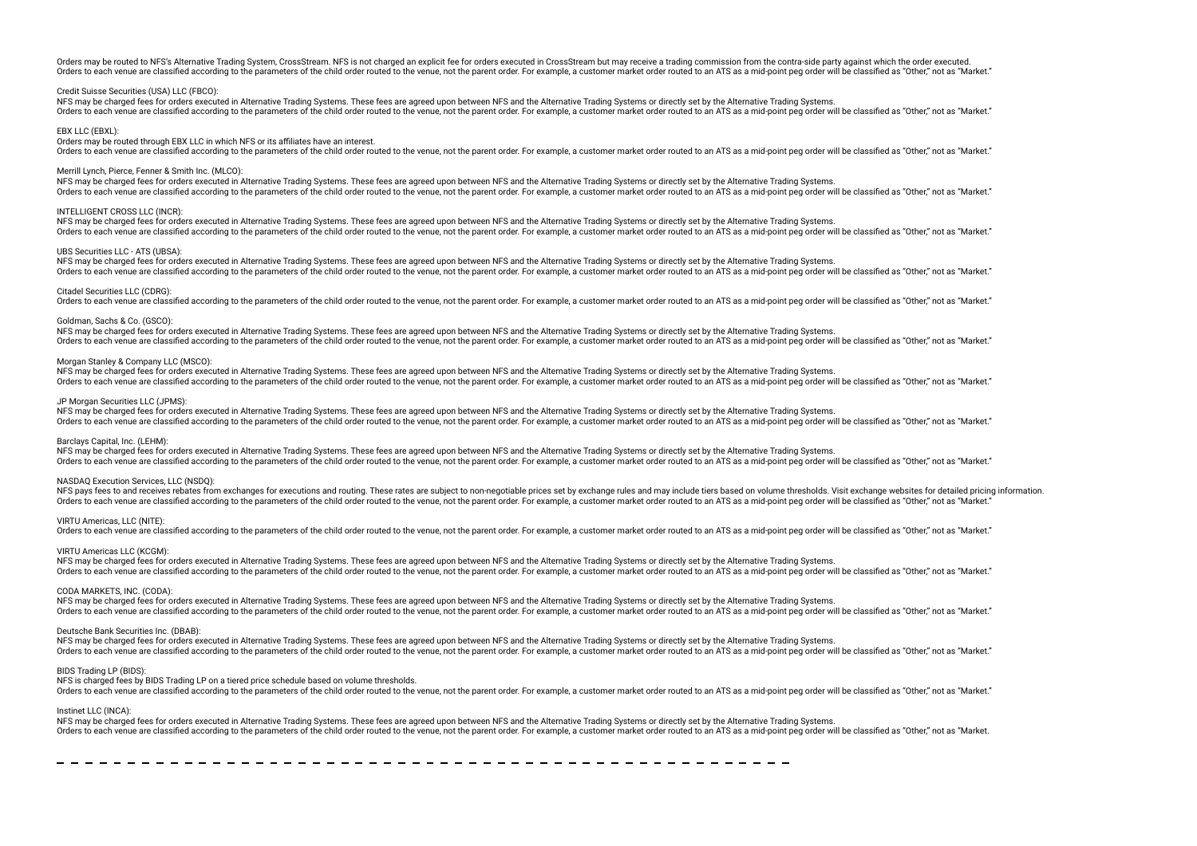Orders may be routed to NFS's Alternative Trading System, CrossStream. NFS is not charged an explicit fee for orders executed in CrossStream but may receive a trading commission from the contra-side party against which the Orders to each venue are classified according to the parameters of the child order routed to the venue, not the parent order. For example, a customer market order routed to an ATS as a mid-point peg order will be classifie

#### Credit Suisse Securities (USA) LLC (FBCO):

NFS may be charged fees for orders executed in Alternative Trading Systems. These fees are agreed upon between NFS and the Alternative Trading Systems or directly set by the Alternative Trading Systems. Orders to each venue are classified according to the parameters of the child order routed to the venue, not the parent order. For example, a customer market order routed to an ATS as a mid-point peg order will be classifie

#### EBX LLC (EBXL):

Orders may be routed through EBX LLC in which NFS or its afliates have an interest.

Orders to each venue are classified according to the parameters of the child order routed to the venue, not the parent order. For example, a customer market order routed to an ATS as a mid-point peg order will be classifie

#### Merrill Lynch, Pierce, Fenner & Smith Inc. (MLCO):

NFS may be charged fees for orders executed in Alternative Trading Systems. These fees are agreed upon between NFS and the Alternative Trading Systems or directly set by the Alternative Trading Systems. Orders to each venue are classified according to the parameters of the child order routed to the venue, not the parent order. For example, a customer market order routed to an ATS as a mid-point peg order will be classifie

#### INTELLIGENT CROSS LLC (INCR):

NFS may be charged fees for orders executed in Alternative Trading Systems. These fees are agreed upon between NFS and the Alternative Trading Systems or directly set by the Alternative Trading Systems. Orders to each venue are classified according to the parameters of the child order routed to the venue, not the parent order. For example, a customer market order routed to an ATS as a mid-point peg order will be classifie

#### UBS Securities LLC - ATS (UBSA):

NFS may be charged fees for orders executed in Alternative Trading Systems. These fees are agreed upon between NFS and the Alternative Trading Systems or directly set by the Alternative Trading Systems or directly set by t Orders to each venue are classified according to the parameters of the child order routed to the venue, not the parent order. For example, a customer market order routed to an ATS as a mid-point peg order will be classifie

#### Citadel Securities LLC (CDRG):

Orders to each venue are classified according to the parameters of the child order routed to the venue, not the parent order. For example, a customer market order routed to an ATS as a mid-point peg order will be classifie

#### Goldman, Sachs & Co. (GSCO):

NFS may be charged fees for orders executed in Alternative Trading Systems. These fees are agreed upon between NFS and the Alternative Trading Systems or directly set by the Alternative Trading Systems. Orders to each venue are classified according to the parameters of the child order routed to the venue, not the parent order. For example, a customer market order routed to an ATS as a mid-point peg order will be classifie

#### Morgan Stanley & Company LLC (MSCO):

NFS may be charged fees for orders executed in Alternative Trading Systems. These fees are agreed upon between NFS and the Alternative Trading Systems or directly set by the Alternative Trading Systems or directly set by t Orders to each venue are classified according to the parameters of the child order routed to the venue, not the parent order. For example, a customer market order routed to an ATS as a mid-point peg order will be classifie

#### JP Morgan Securities LLC (JPMS):

NFS may be charged fees for orders executed in Alternative Trading Systems. These fees are agreed upon between NFS and the Alternative Trading Systems or directly set by the Alternative Trading Systems or directly set by t The sach venue are classified according to the narameters of the child order routed to the yenue pot the parent order. For example a customer market order routed to an ATS as a mid-point peg order will be classified as "Ot

#### Barclays Capital, Inc. (LEHM):

NFS may be charged fees for orders executed in Alternative Trading Systems. These fees are agreed upon between NFS and the Alternative Trading Systems or directly set by the Alternative Trading Systems. Orders to each venue are classified according to the parameters of the child order routed to the venue, not the parent order. For example, a customer market order routed to an ATS as a mid-point peg order will be classifie

#### NASDAQ Execution Services, LLC (NSDQ):

NFS pays fees to and receives rebates from exchanges for executions and routing. These rates are subject to non-negotiable prices set by exchange rules and may include tiers based on yolume thresholds. Visit exchange websi Orders to each venue are classified according to the parameters of the child order routed to the venue, not the parent order. For example, a customer market order routed to an ATS as a mid-point peg order will be classifie

#### VIRTU Americas, LLC (NITE):

Orders to each venue are classified according to the parameters of the child order routed to the venue, not the parent order. For example, a customer market order routed to an ATS as a mid-point peg order will be classifie

#### VIRTU Americas LLC (KCGM):

NFS may be charged fees for orders executed in Alternative Trading Systems. These fees are agreed upon between NFS and the Alternative Trading Systems or directly set by the Alternative Trading Systems. Orders to each venue are classified according to the parameters of the child order routed to the venue, not the parent order. For example, a customer market order routed to an ATS as a mid-point peg order will be classifie

#### CODA MARKETS, INC. (CODA):

NFS may be charged fees for orders executed in Alternative Trading Systems. These fees are agreed upon between NFS and the Alternative Trading Systems or directly set by the Alternative Trading Systems. Orders to each venue are classified according to the parameters of the child order routed to the venue, not the parent order. For example, a customer market order routed to an ATS as a mid-point peg order will be classifie

#### Deutsche Bank Securities Inc. (DBAB):

NFS may be charged fees for orders executed in Alternative Trading Systems. These fees are agreed upon between NFS and the Alternative Trading Systems or directly set by the Alternative Trading Systems. Orders to each venue are classified according to the parameters of the child order routed to the venue, not the parent order. For example, a customer market order routed to an ATS as a mid-point peg order will be classifie

#### BIDS Trading LP (BIDS)

NFS is charged fees by BIDS Trading LP on a tiered price schedule based on volume thresholds.

Orders to each venue are classified according to the parameters of the child order routed to the venue, not the parent order. For example, a customer market order routed to an ATS as a mid-point peg order will be classifie

#### Instinet LLC (INCA):

NFS may be charged fees for orders executed in Alternative Trading Systems. These fees are agreed upon between NFS and the Alternative Trading Systems or directly set by the Alternative Trading Systems. Orders to each venue are classified according to the parameters of the child order routed to the venue, not the parent order. For example, a customer market order routed to an ATS as a mid-point peg order will be classifie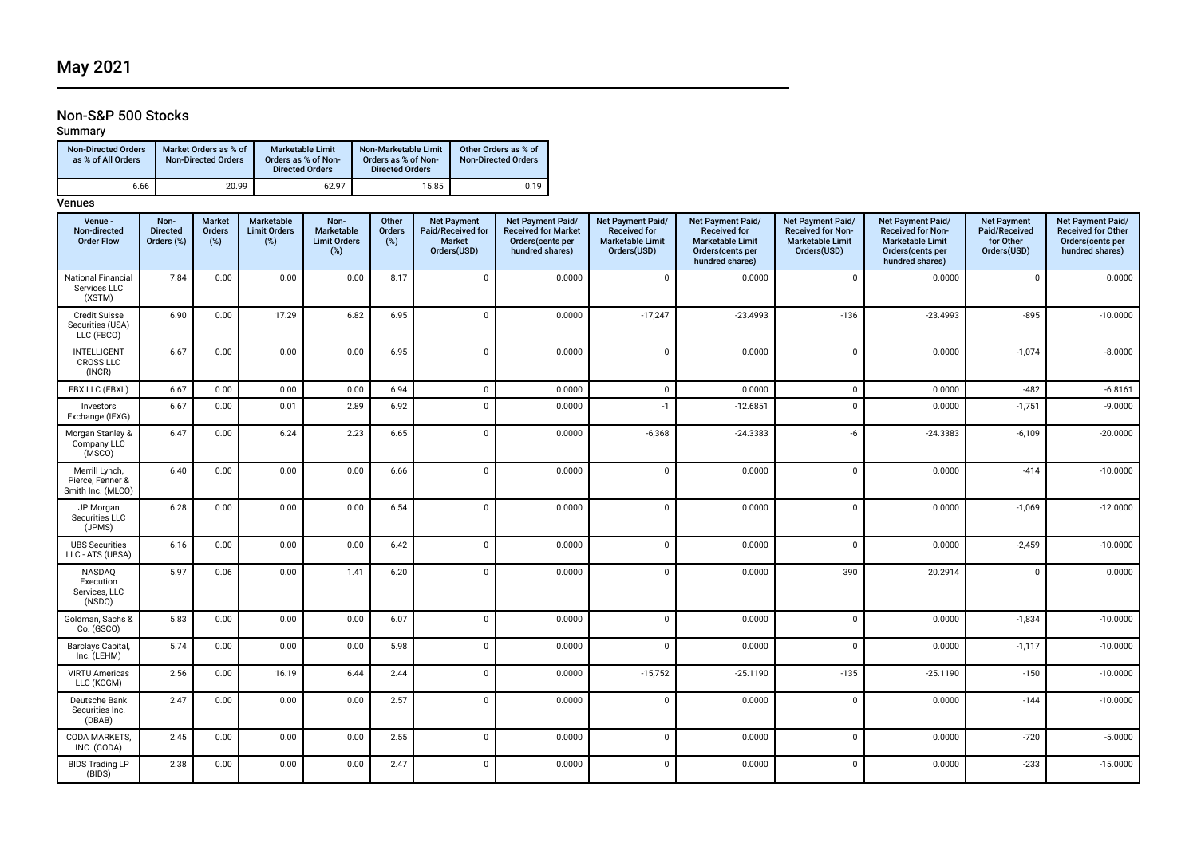## Non-S&P 500 Stocks

## Summary

| <b>Non-Directed Orders</b><br>as % of All Orders | Market Orders as % of<br><b>Non-Directed Orders</b> | <b>Marketable Limit</b><br>Orders as % of Non-<br><b>Directed Orders</b> | Non-Marketable Limit<br>Orders as % of Non-<br><b>Directed Orders</b> | Other Orders as % of<br><b>Non-Directed Orders</b> |
|--------------------------------------------------|-----------------------------------------------------|--------------------------------------------------------------------------|-----------------------------------------------------------------------|----------------------------------------------------|
| 6.66                                             | 20.99                                               | 62.97                                                                    | 15.85                                                                 | 0.19                                               |

| Venue -<br>Non-directed<br><b>Order Flow</b>            | Non-<br><b>Directed</b><br>Orders (%) | Market<br>Orders<br>(%) | Marketable<br><b>Limit Orders</b><br>(%) | Non-<br>Marketable<br><b>Limit Orders</b><br>(%) | Other<br><b>Orders</b><br>(%) | <b>Net Payment</b><br>Paid/Received for<br><b>Market</b><br>Orders(USD) | Net Payment Paid/<br><b>Received for Market</b><br>Orders(cents per<br>hundred shares) | Net Payment Paid/<br><b>Received for</b><br><b>Marketable Limit</b><br>Orders(USD) | Net Payment Paid/<br><b>Received for</b><br><b>Marketable Limit</b><br>Orders(cents per<br>hundred shares) | Net Payment Paid/<br><b>Received for Non-</b><br><b>Marketable Limit</b><br>Orders(USD) | Net Payment Paid/<br><b>Received for Non-</b><br><b>Marketable Limit</b><br>Orders(cents per<br>hundred shares) | <b>Net Payment</b><br>Paid/Received<br>for Other<br>Orders(USD) | Net Payment Paid/<br><b>Received for Other</b><br>Orders(cents per<br>hundred shares) |
|---------------------------------------------------------|---------------------------------------|-------------------------|------------------------------------------|--------------------------------------------------|-------------------------------|-------------------------------------------------------------------------|----------------------------------------------------------------------------------------|------------------------------------------------------------------------------------|------------------------------------------------------------------------------------------------------------|-----------------------------------------------------------------------------------------|-----------------------------------------------------------------------------------------------------------------|-----------------------------------------------------------------|---------------------------------------------------------------------------------------|
| National Financial<br>Services LLC<br>(XSTM)            | 7.84                                  | 0.00                    | 0.00                                     | 0.00                                             | 8.17                          | $\mathbf 0$                                                             | 0.0000                                                                                 | $\mathbf{0}$                                                                       | 0.0000                                                                                                     | $\mathbf 0$                                                                             | 0.0000                                                                                                          | $\mathbf 0$                                                     | 0.0000                                                                                |
| <b>Credit Suisse</b><br>Securities (USA)<br>LLC (FBCO)  | 6.90                                  | 0.00                    | 17.29                                    | 6.82                                             | 6.95                          | $\mathbf{0}$                                                            | 0.0000                                                                                 | $-17,247$                                                                          | $-23.4993$                                                                                                 | $-136$                                                                                  | $-23.4993$                                                                                                      | $-895$                                                          | $-10.0000$                                                                            |
| <b>INTELLIGENT</b><br><b>CROSS LLC</b><br>(INCR)        | 6.67                                  | 0.00                    | 0.00                                     | 0.00                                             | 6.95                          | $\overline{0}$                                                          | 0.0000                                                                                 | $\mathbf 0$                                                                        | 0.0000                                                                                                     | $\mathsf 0$                                                                             | 0.0000                                                                                                          | $-1,074$                                                        | $-8.0000$                                                                             |
| EBX LLC (EBXL)                                          | 6.67                                  | 0.00                    | 0.00                                     | 0.00                                             | 6.94                          | $\overline{0}$                                                          | 0.0000                                                                                 | $\mathbf 0$                                                                        | 0.0000                                                                                                     | $\mathsf 0$                                                                             | 0.0000                                                                                                          | $-482$                                                          | $-6.8161$                                                                             |
| Investors<br>Exchange (IEXG)                            | 6.67                                  | 0.00                    | 0.01                                     | 2.89                                             | 6.92                          | $\Omega$                                                                | 0.0000                                                                                 | $-1$                                                                               | $-12.6851$                                                                                                 | $\mathbf{0}$                                                                            | 0.0000                                                                                                          | $-1,751$                                                        | $-9.0000$                                                                             |
| Morgan Stanley &<br>Company LLC<br>(MSCO)               | 6.47                                  | 0.00                    | 6.24                                     | 2.23                                             | 6.65                          | $\mathbf{0}$                                                            | 0.0000                                                                                 | $-6,368$                                                                           | $-24.3383$                                                                                                 | $-6$                                                                                    | $-24.3383$                                                                                                      | $-6,109$                                                        | $-20.0000$                                                                            |
| Merrill Lynch,<br>Pierce, Fenner &<br>Smith Inc. (MLCO) | 6.40                                  | 0.00                    | 0.00                                     | 0.00                                             | 6.66                          | $\overline{0}$                                                          | 0.0000                                                                                 | $\mathbf 0$                                                                        | 0.0000                                                                                                     | $\mathbf 0$                                                                             | 0.0000                                                                                                          | $-414$                                                          | $-10.0000$                                                                            |
| JP Morgan<br>Securities LLC<br>(JPMS)                   | 6.28                                  | 0.00                    | 0.00                                     | 0.00                                             | 6.54                          | $\Omega$                                                                | 0.0000                                                                                 | $\mathbf{0}$                                                                       | 0.0000                                                                                                     | $\mathbf 0$                                                                             | 0.0000                                                                                                          | $-1,069$                                                        | $-12.0000$                                                                            |
| <b>UBS Securities</b><br>LLC - ATS (UBSA)               | 6.16                                  | 0.00                    | 0.00                                     | 0.00                                             | 6.42                          | $\Omega$                                                                | 0.0000                                                                                 | $\mathbf 0$                                                                        | 0.0000                                                                                                     | $\mathbf 0$                                                                             | 0.0000                                                                                                          | $-2,459$                                                        | $-10.0000$                                                                            |
| NASDAQ<br>Execution<br>Services, LLC<br>(NSDQ)          | 5.97                                  | 0.06                    | 0.00                                     | 1.41                                             | 6.20                          | $\Omega$                                                                | 0.0000                                                                                 | $\mathbf 0$                                                                        | 0.0000                                                                                                     | 390                                                                                     | 20.2914                                                                                                         | $\Omega$                                                        | 0.0000                                                                                |
| Goldman, Sachs &<br>Co. (GSCO)                          | 5.83                                  | 0.00                    | 0.00                                     | 0.00                                             | 6.07                          | $\Omega$                                                                | 0.0000                                                                                 | $\mathsf 0$                                                                        | 0.0000                                                                                                     | $\mathsf 0$                                                                             | 0.0000                                                                                                          | $-1,834$                                                        | $-10.0000$                                                                            |
| Barclays Capital,<br>Inc. (LEHM)                        | 5.74                                  | 0.00                    | 0.00                                     | 0.00                                             | 5.98                          | $\mathbf 0$                                                             | 0.0000                                                                                 | $\mathbf 0$                                                                        | 0.0000                                                                                                     | $\mathbf 0$                                                                             | 0.0000                                                                                                          | $-1,117$                                                        | $-10.0000$                                                                            |
| <b>VIRTU Americas</b><br>LLC (KCGM)                     | 2.56                                  | 0.00                    | 16.19                                    | 6.44                                             | 2.44                          | $\overline{0}$                                                          | 0.0000                                                                                 | $-15,752$                                                                          | $-25.1190$                                                                                                 | $-135$                                                                                  | $-25.1190$                                                                                                      | $-150$                                                          | $-10.0000$                                                                            |
| Deutsche Bank<br>Securities Inc.<br>(DBAB)              | 2.47                                  | 0.00                    | 0.00                                     | 0.00                                             | 2.57                          | $\mathbf{0}$                                                            | 0.0000                                                                                 | $\mathbf 0$                                                                        | 0.0000                                                                                                     | $\mathbf 0$                                                                             | 0.0000                                                                                                          | $-144$                                                          | $-10.0000$                                                                            |
| CODA MARKETS,<br>INC. (CODA)                            | 2.45                                  | 0.00                    | 0.00                                     | 0.00                                             | 2.55                          | $\mathbf{0}$                                                            | 0.0000                                                                                 | $\mathbf 0$                                                                        | 0.0000                                                                                                     | $\mathsf 0$                                                                             | 0.0000                                                                                                          | $-720$                                                          | $-5.0000$                                                                             |
| <b>BIDS Trading LP</b><br>(BIDS)                        | 2.38                                  | 0.00                    | 0.00                                     | 0.00                                             | 2.47                          | $\Omega$                                                                | 0.0000                                                                                 | $\mathbf 0$                                                                        | 0.0000                                                                                                     | $\mathsf 0$                                                                             | 0.0000                                                                                                          | $-233$                                                          | $-15.0000$                                                                            |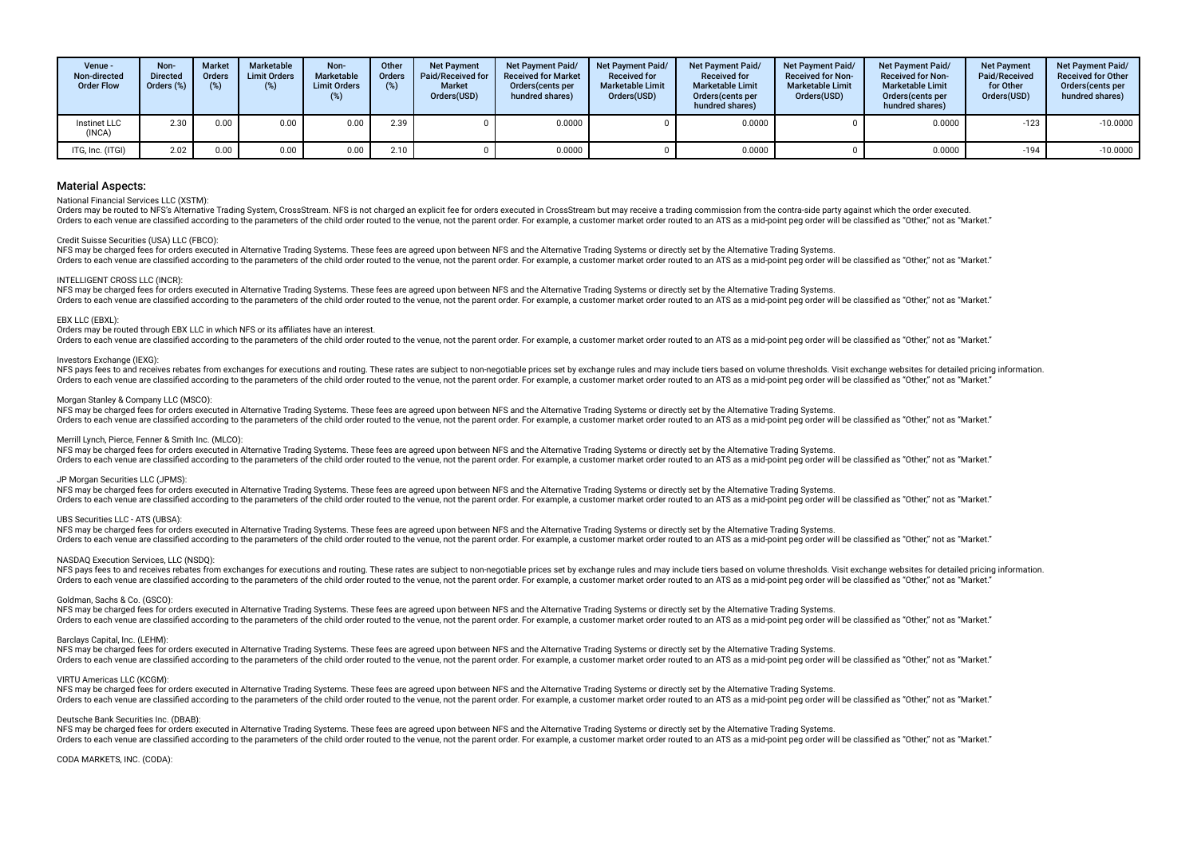| Venue -<br>Non-directed<br><b>Order Flow</b> | Non-<br><b>Directed</b><br>Orders $(\%)$ | <b>Market</b><br><b>Orders</b><br>(%) | Marketable<br><b>Limit Orders</b><br>(%) | Non-<br><b>Marketable</b><br><b>Limit Orders</b><br>(%) | Other<br><b>Orders</b> | <b>Net Payment</b><br>Paid/Received for<br><b>Market</b><br>Orders(USD) | <b>Net Payment Paid/</b><br><b>Received for Market</b><br>Orders (cents per<br>hundred shares) | <b>Net Payment Paid/</b><br><b>Received for</b><br><b>Marketable Limit</b><br>Orders(USD) | <b>Net Payment Paid/</b><br><b>Received for</b><br><b>Marketable Limit</b><br>Orders(cents per<br>hundred shares) | Net Payment Paid/<br><b>Received for Non-</b><br><b>Marketable Limit</b><br>Orders(USD) | <b>Net Payment Paid/</b><br><b>Received for Non-</b><br><b>Marketable Limit</b><br>Orders(cents per<br>hundred shares) | <b>Net Payment</b><br>Paid/Received<br>for Other<br>Orders(USD) | <b>Net Payment Paid/</b><br><b>Received for Other</b><br>Orders(cents per<br>hundred shares) |
|----------------------------------------------|------------------------------------------|---------------------------------------|------------------------------------------|---------------------------------------------------------|------------------------|-------------------------------------------------------------------------|------------------------------------------------------------------------------------------------|-------------------------------------------------------------------------------------------|-------------------------------------------------------------------------------------------------------------------|-----------------------------------------------------------------------------------------|------------------------------------------------------------------------------------------------------------------------|-----------------------------------------------------------------|----------------------------------------------------------------------------------------------|
| Instinet LLC<br>(INCA)                       | 2.30                                     | 0.00                                  | 0.00                                     | 0.00                                                    | 2.39                   |                                                                         | 0.0000                                                                                         |                                                                                           | 0.0000                                                                                                            |                                                                                         | 0.0000                                                                                                                 | $-123$                                                          | $-10.0000$                                                                                   |
| ITG, Inc. (ITGI)                             | 2.02                                     | 0.00                                  | 0.00                                     | 0.00                                                    | 2.10                   |                                                                         | 0.0000                                                                                         |                                                                                           | 0.0000                                                                                                            |                                                                                         | 0.0000                                                                                                                 | $-194$                                                          | $-10.0000$                                                                                   |

#### National Financial Services LLC (XSTM):

Orders may be routed to NFS's Alternative Trading System. CrossStream. NFS is not charged an explicit fee for orders executed in CrossStream but may receive a trading commission from the contra-side party against which the Orders to each venue are classified according to the parameters of the child order routed to the venue, not the parent order. For example, a customer market order routed to an ATS as a mid-point peg order will be classifie

#### Credit Suisse Securities (USA) LLC (FBCO):

NFS may be charged fees for orders executed in Alternative Trading Systems. These fees are agreed upon between NFS and the Alternative Trading Systems or directly set by the Alternative Trading Systems. Orders to each venue are classified according to the parameters of the child order routed to the venue, not the parent order. For example, a customer market order routed to an ATS as a mid-point peg order will be classifie

#### INTELLIGENT CROSS LLC (INCR):

NFS may be charged fees for orders executed in Alternative Trading Systems. These fees are agreed upon between NFS and the Alternative Trading Systems or directly set by the Alternative Trading Systems. Orders to each venue are classified according to the parameters of the child order routed to the venue, not the parent order. For example, a customer market order routed to an ATS as a mid-point peg order will be classifie

#### EBX LLC (EBXL):

Orders may be routed through EBX LLC in which NFS or its affiliates have an interest.

Orders to each venue are classified according to the parameters of the child order routed to the venue, not the parent order. For example, a customer market order routed to an ATS as a mid-point peg order will be classifie

#### Investors Exchange (IEXG):

NES navs fees to and receives rebates from exchanges for executions and routing. These rates are subject to non-negotiable prices set by exchange rules and may include tiers based on yolume thresholds. Visit exchange websi Orders to each venue are classified according to the parameters of the child order routed to the venue, not the parent order. For example, a customer market order routed to an ATS as a mid-point peg order will be classifie

#### Morgan Stanley & Company LLC (MSCO):

NFS may be charged fees for orders executed in Alternative Trading Systems. These fees are agreed upon between NFS and the Alternative Trading Systems or directly set by the Alternative Trading Systems or directly set by t Orders to each venue are classified according to the parameters of the child order routed to the venue, not the parent order. For example, a customer market order routed to an ATS as a mid-point peg order will be classifie

#### Merrill Lynch, Pierce, Fenner & Smith Inc. (MLCO):

NFS may be charged fees for orders executed in Alternative Trading Systems. These fees are agreed upon between NFS and the Alternative Trading Systems or directly set by the Alternative Trading Systems. Orders to each venue are classified according to the parameters of the child order routed to the venue, not the parent order. For example, a customer market order routed to an ATS as a mid-point peg order will be classifie

#### JP Morgan Securities LLC (JPMS):

NFS may be charged fees for orders executed in Alternative Trading Systems. These fees are agreed upon between NFS and the Alternative Trading Systems or directly set by the Alternative Trading Systems. The sach venue are classified according to the narameters of the child order routed to the yenue pot the parent order. For example a customer market order routed to an ATS as a mid-point peg order will be classified as "Ot

#### UBS Securities LLC - ATS (UBSA):

NFS may be charged fees for orders executed in Alternative Trading Systems. These fees are agreed upon between NFS and the Alternative Trading Systems or directly set by the Alternative Trading Systems. Orders to each venue are classified according to the parameters of the child order routed to the venue, not the parent order. For example, a customer market order routed to an ATS as a mid-point peg order will be classifie

#### NASDAQ Execution Services, LLC (NSDQ):

NFS pays fees to and receives rebates from exchanges for executions and routing. These rates are subject to non-negotiable prices set by exchange rules and may include tiers based on yolume thresholds. Visit exchange websi There is each venue are classified according to the parameters of the child order routed to the yenue post the parent order. For example a customer market order routed to an ATS as a mid-point peo order will be classified

#### Goldman, Sachs & Co. (GSCO):

NFS may be charged fees for orders executed in Alternative Trading Systems. These fees are agreed upon between NFS and the Alternative Trading Systems or directly set by the Alternative Trading Systems. Orders to each venue are classified according to the parameters of the child order routed to the venue, not the parent order. For example, a customer market order routed to an ATS as a mid-point peg order will be classifie

#### Barclays Capital, Inc. (LEHM):

NFS may be charged fees for orders executed in Alternative Trading Systems. These fees are agreed upon between NFS and the Alternative Trading Systems or directly set by the Alternative Trading Systems or directly set by t Orders to each venue are classified according to the parameters of the child order routed to the venue, not the parent order. For example, a customer market order routed to an ATS as a mid-point peg order will be classifie

#### VIRTU Americas LLC (KCGM):

NFS may be charged fees for orders executed in Alternative Trading Systems. These fees are agreed upon between NFS and the Alternative Trading Systems or directly set by the Alternative Trading Systems or directly set by t Orders to each venue are classified according to the parameters of the child order routed to the venue, not the parent order. For example, a customer market order routed to an ATS as a mid-point peg order will be classifie

#### Deutsche Bank Securities Inc. (DBAB):

NFS may be charged fees for orders executed in Alternative Trading Systems. These fees are agreed upon between NFS and the Alternative Trading Systems or directly set by the Alternative Trading Systems. Orders to each venue are classified according to the parameters of the child order routed to the venue, not the parent order. For example, a customer market order routed to an ATS as a mid-point peq order will be classifie

#### CODA MARKETS, INC. (CODA):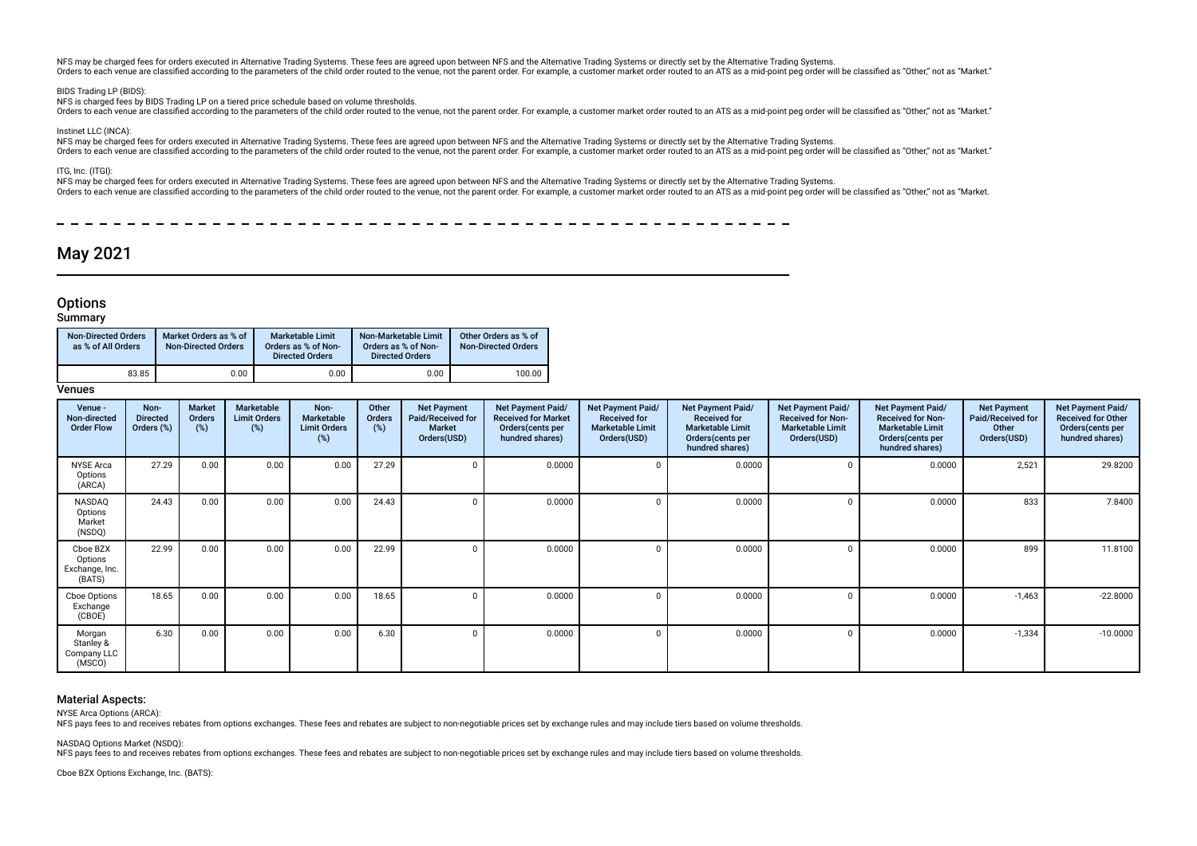NFS may be charged fees for orders executed in Alternative Trading Systems. These fees are agreed upon between NFS and the Alternative Trading Systems or directly set by the Alternative Trading Systems. Orders to each venue are classified according to the parameters of the child order routed to the venue, not the parent order. For example, a customer market order routed to an ATS as a mid-point peg order will be classifie

#### BIDS Trading LP (BIDS)

NFS is charged fees by BIDS Trading LP on a tiered price schedule based on volume thresholds.

Orders to each venue are classified according to the parameters of the child order routed to the venue, not the paramet order. For example, a customer market order routed to an ATS as a mid-point peg order will be classifi

#### Instinet LLC (INCA):

NFS may be charged fees for orders executed in Alternative Trading Systems. These fees are agreed upon between NFS and the Alternative Trading Systems or directly set by the Alternative Trading Systems. Orders to each venue are classified according to the parameters of the child order routed to the venue, not the paramet order. For example, a customer market order routed to an ATS as a mid-point peg order will be classifi

ITG, Inc. (ITGI):

NFS may be charged fees for orders executed in Alternative Trading Systems. These fees are agreed upon between NFS and the Alternative Trading Systems or directly set by the Alternative Trading Systems or directly set by t Orders to each venue are classified according to the parameters of the child order routed to the venue, not the parent order. For example, a customer market order routed to an ATS as a mid-point peg order will be classifie

 $- - - - - - - - -$ 

## May 2021

## **Options**

### **Summary**

| <b>Non-Directed Orders</b><br>as % of All Orders | Market Orders as % of<br><b>Non-Directed Orders</b> | <b>Marketable Limit</b><br>Orders as % of Non-<br><b>Directed Orders</b> | Non-Marketable Limit<br>Orders as % of Non-<br><b>Directed Orders</b> | Other Orders as % of<br><b>Non-Directed Orders</b> |
|--------------------------------------------------|-----------------------------------------------------|--------------------------------------------------------------------------|-----------------------------------------------------------------------|----------------------------------------------------|
| 83.85                                            | 0.00                                                | 0.00                                                                     | 0.00                                                                  | 100.00                                             |

### Venues

| Venue -<br>Non-directed<br><b>Order Flow</b>    | Non-<br><b>Directed</b><br>Orders (%) | Market<br>Orders<br>(%) | Marketable<br><b>Limit Orders</b><br>(%) | Non-<br>Marketable<br><b>Limit Orders</b><br>(%) | Other<br>Orders<br>(%) | <b>Net Payment</b><br>Paid/Received for<br><b>Market</b><br>Orders(USD) | Net Payment Paid/<br><b>Received for Market</b><br>Orders(cents per<br>hundred shares) | <b>Net Payment Paid/</b><br><b>Received for</b><br><b>Marketable Limit</b><br>Orders(USD) | Net Payment Paid/<br><b>Received for</b><br><b>Marketable Limit</b><br>Orders (cents per<br>hundred shares) | Net Payment Paid/<br><b>Received for Non-</b><br><b>Marketable Limit</b><br>Orders(USD) | <b>Net Payment Paid/</b><br><b>Received for Non-</b><br><b>Marketable Limit</b><br>Orders(cents per<br>hundred shares) | <b>Net Payment</b><br>Paid/Received for<br>Other<br>Orders(USD) | Net Payment Paid/<br><b>Received for Other</b><br>Orders(cents per<br>hundred shares) |
|-------------------------------------------------|---------------------------------------|-------------------------|------------------------------------------|--------------------------------------------------|------------------------|-------------------------------------------------------------------------|----------------------------------------------------------------------------------------|-------------------------------------------------------------------------------------------|-------------------------------------------------------------------------------------------------------------|-----------------------------------------------------------------------------------------|------------------------------------------------------------------------------------------------------------------------|-----------------------------------------------------------------|---------------------------------------------------------------------------------------|
| <b>NYSE Arca</b><br>Options<br>(ARCA)           | 27.29                                 | 0.00                    | 0.00                                     | 0.00                                             | 27.29                  |                                                                         | 0.0000                                                                                 |                                                                                           | 0.0000                                                                                                      |                                                                                         | 0.0000                                                                                                                 | 2,521                                                           | 29.8200                                                                               |
| NASDAQ<br>Options<br>Market<br>(NSDQ)           | 24.43                                 | 0.00                    | 0.00                                     | 0.00                                             | 24.43                  |                                                                         | 0.0000                                                                                 |                                                                                           | 0.0000                                                                                                      |                                                                                         | 0.0000                                                                                                                 | 833                                                             | 7.8400                                                                                |
| Cboe BZX<br>Options<br>Exchange, Inc.<br>(BATS) | 22.99                                 | 0.00                    | 0.00                                     | 0.00                                             | 22.99                  |                                                                         | 0.0000                                                                                 |                                                                                           | 0.0000                                                                                                      |                                                                                         | 0.0000                                                                                                                 | 899                                                             | 11.8100                                                                               |
| Cboe Options<br>Exchange<br>(CBOE)              | 18.65                                 | 0.00                    | 0.00                                     | 0.00                                             | 18.65                  |                                                                         | 0.0000                                                                                 |                                                                                           | 0.0000                                                                                                      |                                                                                         | 0.0000                                                                                                                 | $-1,463$                                                        | $-22.8000$                                                                            |
| Morgan<br>Stanley &<br>Company LLC<br>(MSCO)    | 6.30                                  | 0.00                    | 0.00                                     | 0.00                                             | 6.30                   |                                                                         | 0.0000                                                                                 |                                                                                           | 0.0000                                                                                                      |                                                                                         | 0.0000                                                                                                                 | $-1,334$                                                        | $-10.0000$                                                                            |

### Material Aspects:

NYSE Arca Options (ARCA):

NFS pays fees to and receives rebates from options exchanges. These fees and rebates are subject to non-negotiable prices set by exchange rules and may include tiers based on volume thresholds.

NASDAQ Options Market (NSDQ):

NFS pays fees to and receives rebates from options exchanges. These fees and rebates are subject to non-negotiable prices set by exchange rules and may include tiers based on volume thresholds.

Cboe BZX Options Exchange, Inc. (BATS):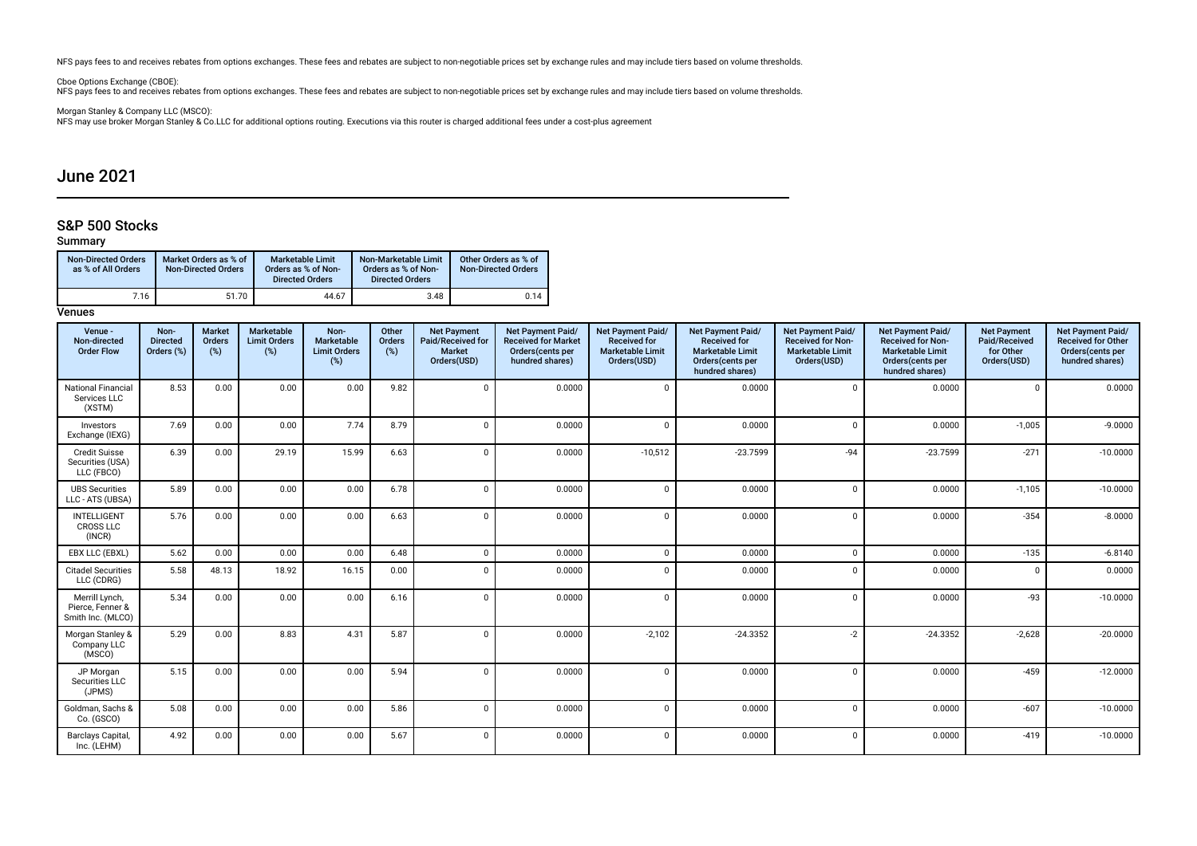NFS pays fees to and receives rebates from options exchanges. These fees and rebates are subject to non-negotiable prices set by exchange rules and may include tiers based on volume thresholds.

Cboe Options Exchange (CBOE):<br>NFS pays fees to and receives rebates from options exchanges. These fees and rebates are subject to non-negotiable prices set by exchange rules and may include tiers based on volume thresholds

Morgan Stanley & Company LLC (MSCO):<br>NFS may use broker Morgan Stanley & Co.LLC for additional options routing. Executions via this router is charged additional fees under a cost-plus agreement

## June 2021

## S&P 500 Stocks

## Summary

| <b>Non-Directed Orders</b><br>as % of All Orders | Market Orders as % of<br><b>Non-Directed Orders</b> | Marketable Limit<br>Orders as % of Non-<br><b>Directed Orders</b> | Non-Marketable Limit<br>Orders as % of Non-<br><b>Directed Orders</b> | Other Orders as % of<br><b>Non-Directed Orders</b> |
|--------------------------------------------------|-----------------------------------------------------|-------------------------------------------------------------------|-----------------------------------------------------------------------|----------------------------------------------------|
| 7.16                                             | 51.70                                               | 44.67                                                             | 3.48                                                                  | 0.14                                               |

| Venue -<br>Non-directed<br><b>Order Flow</b>            | Non-<br><b>Directed</b><br>Orders (%) | Market<br>Orders<br>(%) | Marketable<br><b>Limit Orders</b><br>(%) | Non-<br>Marketable<br><b>Limit Orders</b><br>(%) | Other<br><b>Orders</b><br>(%) | <b>Net Payment</b><br>Paid/Received for<br><b>Market</b><br>Orders(USD) | <b>Net Payment Paid/</b><br><b>Received for Market</b><br>Orders(cents per<br>hundred shares) | Net Payment Paid/<br><b>Received for</b><br><b>Marketable Limit</b><br>Orders(USD) | Net Payment Paid/<br><b>Received for</b><br><b>Marketable Limit</b><br>Orders(cents per<br>hundred shares) | Net Payment Paid/<br><b>Received for Non-</b><br><b>Marketable Limit</b><br>Orders(USD) | Net Payment Paid/<br><b>Received for Non-</b><br><b>Marketable Limit</b><br>Orders(cents per<br>hundred shares) | <b>Net Payment</b><br>Paid/Received<br>for Other<br>Orders(USD) | Net Payment Paid/<br><b>Received for Other</b><br>Orders(cents per<br>hundred shares) |
|---------------------------------------------------------|---------------------------------------|-------------------------|------------------------------------------|--------------------------------------------------|-------------------------------|-------------------------------------------------------------------------|-----------------------------------------------------------------------------------------------|------------------------------------------------------------------------------------|------------------------------------------------------------------------------------------------------------|-----------------------------------------------------------------------------------------|-----------------------------------------------------------------------------------------------------------------|-----------------------------------------------------------------|---------------------------------------------------------------------------------------|
| <b>National Financial</b><br>Services LLC<br>(XSTM)     | 8.53                                  | 0.00                    | 0.00                                     | 0.00                                             | 9.82                          | $\Omega$                                                                | 0.0000                                                                                        | $\Omega$                                                                           | 0.0000                                                                                                     | $\Omega$                                                                                | 0.0000                                                                                                          |                                                                 | 0.0000                                                                                |
| Investors<br>Exchange (IEXG)                            | 7.69                                  | 0.00                    | 0.00                                     | 7.74                                             | 8.79                          | $\Omega$                                                                | 0.0000                                                                                        | $\Omega$                                                                           | 0.0000                                                                                                     | $\Omega$                                                                                | 0.0000                                                                                                          | $-1,005$                                                        | $-9.0000$                                                                             |
| <b>Credit Suisse</b><br>Securities (USA)<br>LLC (FBCO)  | 6.39                                  | 0.00                    | 29.19                                    | 15.99                                            | 6.63                          | $\Omega$                                                                | 0.0000                                                                                        | $-10,512$                                                                          | $-23.7599$                                                                                                 | $-94$                                                                                   | $-23.7599$                                                                                                      | $-271$                                                          | $-10.0000$                                                                            |
| <b>UBS Securities</b><br>LLC - ATS (UBSA)               | 5.89                                  | 0.00                    | 0.00                                     | 0.00                                             | 6.78                          | $\Omega$                                                                | 0.0000                                                                                        | $\Omega$                                                                           | 0.0000                                                                                                     |                                                                                         | 0.0000                                                                                                          | $-1,105$                                                        | $-10.0000$                                                                            |
| <b>INTELLIGENT</b><br><b>CROSS LLC</b><br>(INCR)        | 5.76                                  | 0.00                    | 0.00                                     | 0.00                                             | 6.63                          | $\Omega$                                                                | 0.0000                                                                                        | $\Omega$                                                                           | 0.0000                                                                                                     | $\Omega$                                                                                | 0.0000                                                                                                          | $-354$                                                          | $-8.0000$                                                                             |
| EBX LLC (EBXL)                                          | 5.62                                  | 0.00                    | 0.00                                     | 0.00                                             | 6.48                          | $\Omega$                                                                | 0.0000                                                                                        | $\Omega$                                                                           | 0.0000                                                                                                     | $\Omega$                                                                                | 0.0000                                                                                                          | $-135$                                                          | $-6.8140$                                                                             |
| <b>Citadel Securities</b><br>LLC (CDRG)                 | 5.58                                  | 48.13                   | 18.92                                    | 16.15                                            | 0.00                          | $\Omega$                                                                | 0.0000                                                                                        | $\Omega$                                                                           | 0.0000                                                                                                     |                                                                                         | 0.0000                                                                                                          | $\Omega$                                                        | 0.0000                                                                                |
| Merrill Lynch,<br>Pierce, Fenner &<br>Smith Inc. (MLCO) | 5.34                                  | 0.00                    | 0.00                                     | 0.00                                             | 6.16                          | $\Omega$                                                                | 0.0000                                                                                        | $\Omega$                                                                           | 0.0000                                                                                                     |                                                                                         | 0.0000                                                                                                          | $-93$                                                           | $-10.0000$                                                                            |
| Morgan Stanley &<br>Company LLC<br>(MSCO)               | 5.29                                  | 0.00                    | 8.83                                     | 4.31                                             | 5.87                          | $\Omega$                                                                | 0.0000                                                                                        | $-2,102$                                                                           | $-24.3352$                                                                                                 | $-2$                                                                                    | $-24.3352$                                                                                                      | $-2,628$                                                        | $-20.0000$                                                                            |
| JP Morgan<br>Securities LLC<br>(JPMS)                   | 5.15                                  | 0.00                    | 0.00                                     | 0.00                                             | 5.94                          | $\Omega$                                                                | 0.0000                                                                                        | $\Omega$                                                                           | 0.0000                                                                                                     | $\Omega$                                                                                | 0.0000                                                                                                          | $-459$                                                          | $-12.0000$                                                                            |
| Goldman, Sachs &<br>Co. (GSCO)                          | 5.08                                  | 0.00                    | 0.00                                     | 0.00                                             | 5.86                          | $\Omega$                                                                | 0.0000                                                                                        | $\Omega$                                                                           | 0.0000                                                                                                     | $\Omega$                                                                                | 0.0000                                                                                                          | $-607$                                                          | $-10.0000$                                                                            |
| Barclays Capital,<br>Inc. (LEHM)                        | 4.92                                  | 0.00                    | 0.00                                     | 0.00                                             | 5.67                          | $\Omega$                                                                | 0.0000                                                                                        | $\Omega$                                                                           | 0.0000                                                                                                     |                                                                                         | 0.0000                                                                                                          | $-419$                                                          | $-10.0000$                                                                            |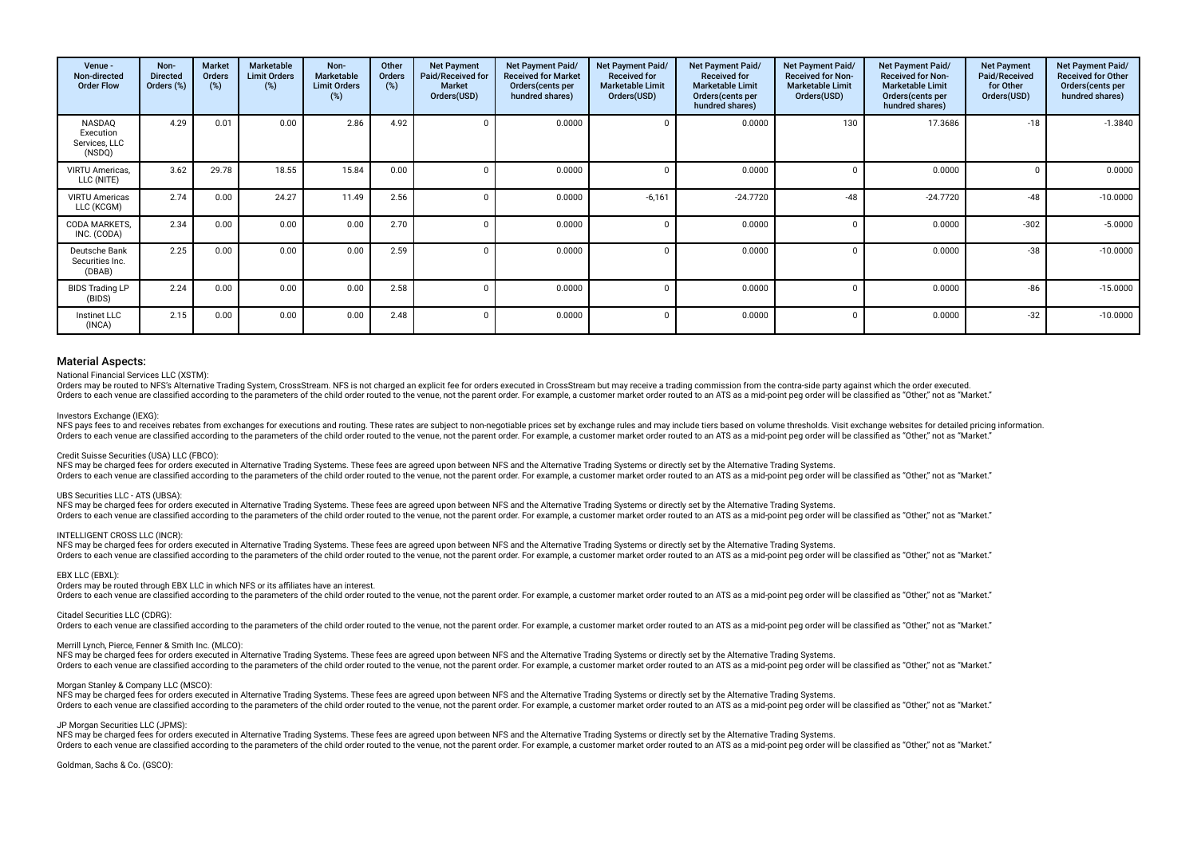| Venue -<br>Non-directed<br><b>Order Flow</b>   | Non-<br><b>Directed</b><br>Orders (%) | <b>Market</b><br><b>Orders</b><br>(%) | Marketable<br><b>Limit Orders</b><br>(%) | Non-<br><b>Marketable</b><br><b>Limit Orders</b><br>(%) | Other<br><b>Orders</b><br>(%) | <b>Net Payment</b><br>Paid/Received for<br><b>Market</b><br>Orders(USD) | Net Payment Paid/<br><b>Received for Market</b><br>Orders(cents per<br>hundred shares) | Net Payment Paid/<br><b>Received for</b><br><b>Marketable Limit</b><br>Orders(USD) | Net Payment Paid/<br><b>Received for</b><br><b>Marketable Limit</b><br>Orders (cents per<br>hundred shares) | Net Payment Paid/<br><b>Received for Non-</b><br><b>Marketable Limit</b><br>Orders(USD) | Net Payment Paid/<br><b>Received for Non-</b><br><b>Marketable Limit</b><br>Orders(cents per<br>hundred shares) | <b>Net Payment</b><br>Paid/Received<br>for Other<br>Orders(USD) | Net Payment Paid/<br><b>Received for Other</b><br>Orders(cents per<br>hundred shares) |
|------------------------------------------------|---------------------------------------|---------------------------------------|------------------------------------------|---------------------------------------------------------|-------------------------------|-------------------------------------------------------------------------|----------------------------------------------------------------------------------------|------------------------------------------------------------------------------------|-------------------------------------------------------------------------------------------------------------|-----------------------------------------------------------------------------------------|-----------------------------------------------------------------------------------------------------------------|-----------------------------------------------------------------|---------------------------------------------------------------------------------------|
| NASDAQ<br>Execution<br>Services, LLC<br>(NSDQ) | 4.29                                  | 0.01                                  | 0.00                                     | 2.86                                                    | 4.92                          |                                                                         | 0.0000                                                                                 |                                                                                    | 0.0000                                                                                                      | 130                                                                                     | 17.3686                                                                                                         | $-18$                                                           | $-1.3840$                                                                             |
| VIRTU Americas,<br>LLC (NITE)                  | 3.62                                  | 29.78                                 | 18.55                                    | 15.84                                                   | 0.00                          |                                                                         | 0.0000                                                                                 |                                                                                    | 0.0000                                                                                                      |                                                                                         | 0.0000                                                                                                          |                                                                 | 0.0000                                                                                |
| <b>VIRTU Americas</b><br>LLC (KCGM)            | 2.74                                  | 0.00                                  | 24.27                                    | 11.49                                                   | 2.56                          |                                                                         | 0.0000                                                                                 | $-6,161$                                                                           | $-24.7720$                                                                                                  | $-48$                                                                                   | $-24.7720$                                                                                                      | $-48$                                                           | $-10.0000$                                                                            |
| CODA MARKETS.<br>INC. (CODA)                   | 2.34                                  | 0.00                                  | 0.00                                     | 0.00                                                    | 2.70                          |                                                                         | 0.0000                                                                                 |                                                                                    | 0.0000                                                                                                      |                                                                                         | 0.0000                                                                                                          | $-302$                                                          | $-5.0000$                                                                             |
| Deutsche Bank<br>Securities Inc.<br>(DBAB)     | 2.25                                  | 0.00                                  | 0.00                                     | 0.00                                                    | 2.59                          |                                                                         | 0.0000                                                                                 |                                                                                    | 0.0000                                                                                                      |                                                                                         | 0.0000                                                                                                          | $-38$                                                           | $-10.0000$                                                                            |
| <b>BIDS Trading LP</b><br>(BIDS)               | 2.24                                  | 0.00                                  | 0.00                                     | 0.00                                                    | 2.58                          | <sup>n</sup>                                                            | 0.0000                                                                                 |                                                                                    | 0.0000                                                                                                      |                                                                                         | 0.0000                                                                                                          | $-86$                                                           | $-15.0000$                                                                            |
| Instinet LLC<br>(INCA)                         | 2.15                                  | 0.00                                  | 0.00                                     | 0.00                                                    | 2.48                          | $\Omega$                                                                | 0.0000                                                                                 | C                                                                                  | 0.0000                                                                                                      |                                                                                         | 0.0000                                                                                                          | $-32$                                                           | $-10.0000$                                                                            |

#### National Financial Services LLC (XSTM):

Orders may be routed to NFS's Alternative Trading System, CrossStream. NFS is not charged an explicit fee for orders executed in CrossStream but may receive a trading commission from the contra-side party against which the The parameters of the child order routed to the way to the proceding to the way to the way to the way to the parameter Softhe Vertule to the way to the way to the parent order. For example a customer market order routed to

#### Investors Exchange (IEXG):

NFS pays fees to and receives rebates from exchanges for executions and routing. These rates are subject to non-negotiable prices set by exchange rules and may include tiers based on yolume thresholds. Visit exchange websi Orders to each venue are classified according to the parameters of the child order routed to the yenue, not the parent order. For example, a customer market order routed to an ATS as a mid-point peg order will be classifie

#### Credit Suisse Securities (USA) LLC (FBCO):

NFS may be charged fees for orders executed in Alternative Trading Systems. These fees are agreed upon between NFS and the Alternative Trading Systems or directly set by the Alternative Trading Systems. Orders to each venue are classified according to the parameters of the child order routed to the venue, not the parent order. For example, a customer market order routed to an ATS as a mid-point peg order will be classifie

#### UBS Securities LLC - ATS (UBSA):

NFS may be charged fees for orders executed in Alternative Trading Systems. These fees are agreed upon between NFS and the Alternative Trading Systems or directly set by the Alternative Trading Systems. Orders to each venue are classified according to the parameters of the child order routed to the venue, not the parent order. For example, a customer market order routed to an ATS as a mid-point peg order will be classifie

#### INTELLIGENT CROSS LLC (INCR):

NFS may be charged fees for orders executed in Alternative Trading Systems. These fees are agreed upon between NFS and the Alternative Trading Systems or directly set by the Alternative Trading Systems. Orders to each venue are classified according to the parameters of the child order routed to the venue, not the parent order. For example, a customer market order routed to an ATS as a mid-point peq order will be classifie

#### EBX LLC (EBXL):

Orders may be routed through EBX LLC in which NFS or its affiliates have an interest.

Orders to each venue are classified according to the parameters of the child order routed to the venue, not the parent order. For example, a customer market order routed to an ATS as a mid-point peg order will be classifie

#### Citadel Securities LLC (CDRG):

Orders to each venue are classified according to the parameters of the child order routed to the venue, not the parent order. For example, a customer market order routed to an ATS as a mid-point peg order will be classifie

#### Merrill Lynch, Pierce, Fenner & Smith Inc. (MLCO):

NFS may be charged fees for orders executed in Alternative Trading Systems. These fees are agreed upon between NFS and the Alternative Trading Systems or directly set by the Alternative Trading Systems or directly set by t Orders to each venue are classified according to the parameters of the child order routed to the venue, not the parent order. For example, a customer market order routed to an ATS as a mid-point peg order will be classifie

#### Morgan Stanley & Company LLC (MSCO):

NFS may be charged fees for orders executed in Alternative Trading Systems. These fees are agreed upon between NFS and the Alternative Trading Systems or directly set by the Alternative Trading Systems. Orders to each venue are classified according to the parameters of the child order routed to the venue, not the parent order. For example, a customer market order routed to an ATS as a mid-point peg order will be classifie

### JP Morgan Securities LLC (JPMS):

NFS may be charged fees for orders executed in Alternative Trading Systems. These fees are agreed upon between NFS and the Alternative Trading Systems or directly set by the Alternative Trading Systems. Orders to each venue are classified according to the parameters of the child order routed to the venue, not the parent order. For example, a customer market order routed to an ATS as a mid-point peg order will be classifie

Goldman, Sachs & Co. (GSCO):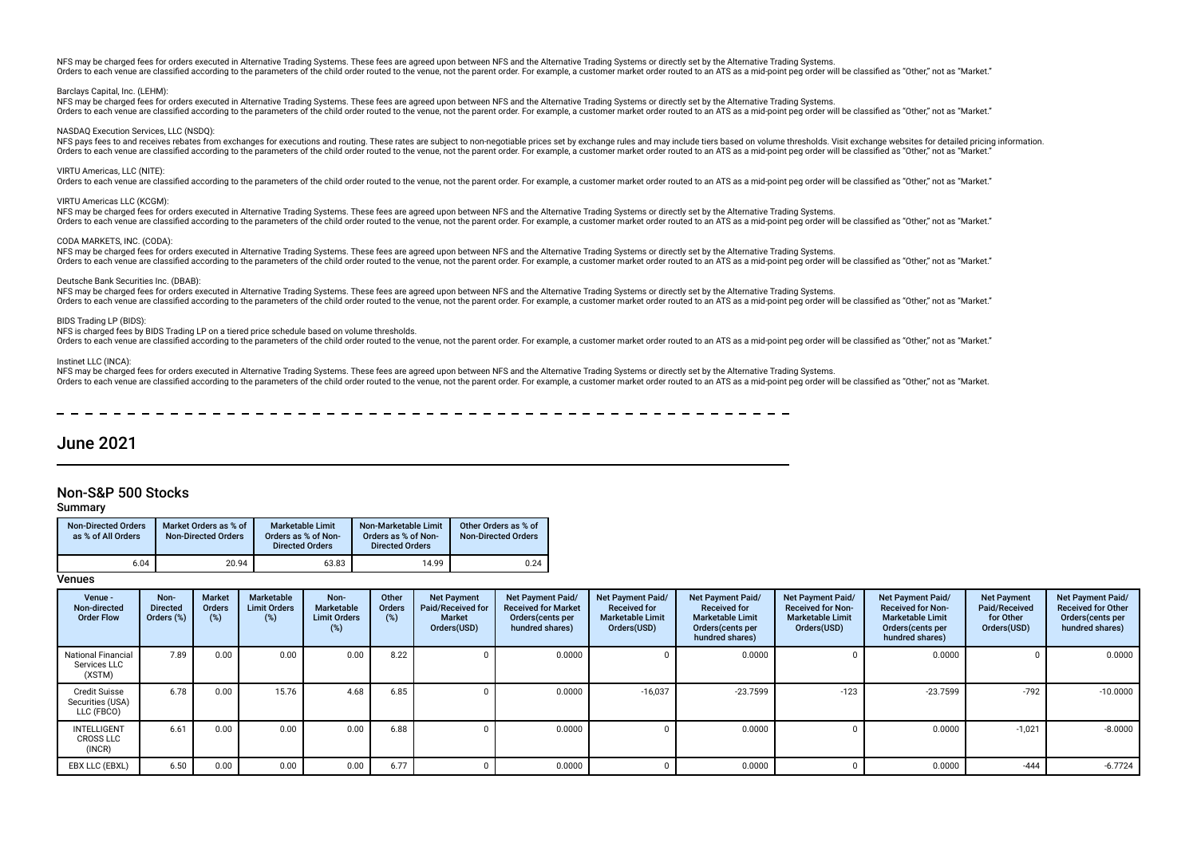NFS may be charged fees for orders executed in Alternative Trading Systems. These fees are agreed upon between NFS and the Alternative Trading Systems or directly set by the Alternative Trading Systems. Orders to each venue are classified according to the parameters of the child order routed to the venue, not the parent order. For example, a customer market order routed to an ATS as a mid-noint peg order will be classifie

#### Barclays Capital, Inc. (LEHM):

NFS may be charged fees for orders executed in Alternative Trading Systems. These fees are agreed upon between NFS and the Alternative Trading Systems or directly set by the Alternative Trading Systems. Orders to each venue are classified according to the parameters of the child order routed to the venue, not the parent order. For example, a customer market order routed to an ATS as a mid-point peg order will be classifie

#### NASDAQ Execution Services, LLC (NSDQ):

NFS pays fees to and receives rebates from exchanges for executions and routing. These rates are subject to non-negotiable prices set by exchange rules and may include tiers based on volume thresholds. Visit exchange websi Orders to each venue are classified according to the parameters of the child order routed to the venue, not the parent order. For example, a customer market order routed to an ATS as a mid-point peg order will be classifie

#### VIRTU Americas, LLC (NITE):

Orders to each venue are classified according to the parameters of the child order routed to the venue, not the parent order. For example, a customer market order routed to an ATS as a mid-point peg order will be classifie

#### VIRTU Americas LLC (KCGM):

NFS may be charged fees for orders executed in Alternative Trading Systems. These fees are agreed upon between NFS and the Alternative Trading Systems or directly set by the Alternative Trading Systems or directly set by t Orders to each venue are classified according to the parameters of the child order routed to the venue, not the parent order. For example, a customer market order routed to an ATS as a mid-point peg order will be classifie

#### CODA MARKETS, INC. (CODA):

NFS may be charged fees for orders executed in Alternative Trading Systems. These fees are agreed upon between NFS and the Alternative Trading Systems or directly set by the Alternative Trading Systems. Orders to each venue are classified according to the parameters of the child order routed to the venue, not the parent order. For example, a customer market order routed to an ATS as a mid-point peg order will be classifie

#### Deutsche Bank Securities Inc. (DBAB):

NFS may be charged fees for orders executed in Alternative Trading Systems. These fees are agreed upon between NFS and the Alternative Trading Systems or directly set by the Alternative Trading Systems. Orders to each venue are classified according to the parameters of the child order routed to the venue, not the parent order. For example, a customer market order routed to an ATS as a mid-point peg order will be classifie

#### BIDS Trading LP (BIDS)

#### NFS is charged fees by BIDS Trading LP on a tiered price schedule based on volume thresholds.

Orders to each venue are classified according to the parameters of the child order routed to the venue, not the parent order. For example, a customer market order routed to an ATS as a mid-point peg order will be classifie

#### Instinet LLC (INCA):

NFS may be charged fees for orders executed in Alternative Trading Systems. These fees are agreed upon between NFS and the Alternative Trading Systems or directly set by the Alternative Trading Systems or directly set by t Orders to each venue are classified according to the parameters of the child order routed to the venue, not the parent order. For example, a customer market order routed to an ATS as a mid-point peg order will be classifie

## June 2021

## Non-S&P 500 Stocks

### Summary

| Non-Directed Orders<br>as % of All Orders | Market Orders as % of<br><b>Non-Directed Orders</b> | <b>Marketable Limit</b><br>Orders as % of Non-<br><b>Directed Orders</b> | Non-Marketable Limit<br>Orders as % of Non-<br><b>Directed Orders</b> | Other Orders as % of<br><b>Non-Directed Orders</b> |
|-------------------------------------------|-----------------------------------------------------|--------------------------------------------------------------------------|-----------------------------------------------------------------------|----------------------------------------------------|
| 6.04                                      | 20.94                                               | 63.83                                                                    | 14.99                                                                 | 0.24                                               |

| Venue -<br>Non-directed<br><b>Order Flow</b>           | Non-<br><b>Directed</b><br>Orders (%) | <b>Market</b><br><b>Orders</b><br>$(\%)$ | Marketable<br><b>Limit Orders</b><br>(%) | Non-<br><b>Marketable</b><br><b>Limit Orders</b><br>(%) | Other<br><b>Orders</b><br>(%) | <b>Net Payment</b><br>Paid/Received for<br><b>Market</b><br>Orders(USD) | <b>Net Payment Paid/</b><br><b>Received for Market</b><br>Orders(cents per<br>hundred shares) | Net Payment Paid/<br><b>Received for</b><br><b>Marketable Limit</b><br>Orders(USD) | Net Payment Paid/<br><b>Received for</b><br><b>Marketable Limit</b><br>Orders (cents per<br>hundred shares) | Net Payment Paid/<br><b>Received for Non-</b><br><b>Marketable Limit</b><br>Orders(USD) | Net Payment Paid/<br><b>Received for Non-</b><br><b>Marketable Limit</b><br>Orders(cents per<br>hundred shares) | <b>Net Payment</b><br>Paid/Received<br>for Other<br>Orders(USD) | <b>Net Payment Paid/</b><br><b>Received for Other</b><br>Orders(cents per<br>hundred shares) |
|--------------------------------------------------------|---------------------------------------|------------------------------------------|------------------------------------------|---------------------------------------------------------|-------------------------------|-------------------------------------------------------------------------|-----------------------------------------------------------------------------------------------|------------------------------------------------------------------------------------|-------------------------------------------------------------------------------------------------------------|-----------------------------------------------------------------------------------------|-----------------------------------------------------------------------------------------------------------------|-----------------------------------------------------------------|----------------------------------------------------------------------------------------------|
| <b>National Financial</b><br>Services LLC<br>(XSTM)    | 7.89                                  | 0.00                                     | 0.00                                     | 0.00                                                    | 8.22                          |                                                                         | 0.0000                                                                                        |                                                                                    | 0.0000                                                                                                      |                                                                                         | 0.0000                                                                                                          |                                                                 | 0.0000                                                                                       |
| <b>Credit Suisse</b><br>Securities (USA)<br>LLC (FBCO) | 6.78                                  | 0.00                                     | 15.76                                    | 4.68                                                    | 6.85                          |                                                                         | 0.0000                                                                                        | $-16,037$                                                                          | $-23.7599$                                                                                                  | $-123$                                                                                  | $-23.7599$                                                                                                      | $-792$                                                          | $-10.0000$                                                                                   |
| INTELLIGENT<br><b>CROSS LLC</b><br>(INCR)              | 6.61                                  | 0.00                                     | 0.00                                     | 0.00                                                    | 6.88                          |                                                                         | 0.0000                                                                                        |                                                                                    | 0.0000                                                                                                      |                                                                                         | 0.0000                                                                                                          | $-1,021$                                                        | $-8.0000$                                                                                    |
| EBX LLC (EBXL)                                         | 6.50                                  | 0.00                                     | 0.00                                     | 0.00                                                    | 6.77                          |                                                                         | 0.0000                                                                                        |                                                                                    | 0.0000                                                                                                      |                                                                                         | 0.0000                                                                                                          | $-444$                                                          | $-6.7724$                                                                                    |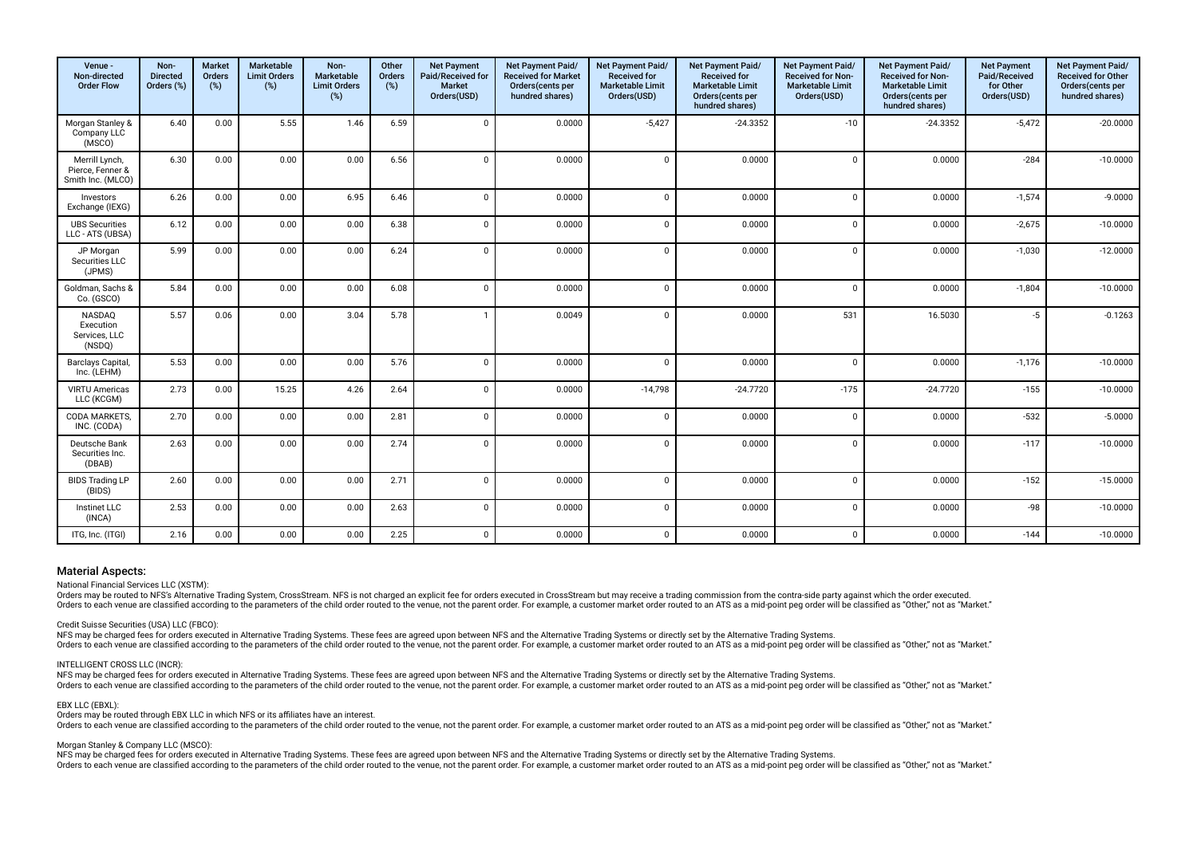| Venue -<br>Non-directed<br><b>Order Flow</b>            | Non-<br><b>Directed</b><br>Orders (%) | Market<br>Orders<br>(%) | Marketable<br><b>Limit Orders</b><br>(%) | Non-<br>Marketable<br><b>Limit Orders</b><br>$(\%)$ | Other<br>Orders<br>$(\%)$ | <b>Net Payment</b><br>Paid/Received for<br><b>Market</b><br>Orders(USD) | Net Payment Paid/<br><b>Received for Market</b><br>Orders(cents per<br>hundred shares) | Net Payment Paid/<br><b>Received for</b><br><b>Marketable Limit</b><br>Orders(USD) | Net Payment Paid/<br><b>Received for</b><br><b>Marketable Limit</b><br>Orders(cents per<br>hundred shares) | Net Payment Paid/<br><b>Received for Non-</b><br><b>Marketable Limit</b><br>Orders(USD) | Net Payment Paid/<br><b>Received for Non-</b><br>Marketable Limit<br>Orders(cents per<br>hundred shares) | <b>Net Payment</b><br>Paid/Received<br>for Other<br>Orders(USD) | Net Payment Paid/<br><b>Received for Other</b><br>Orders(cents per<br>hundred shares) |
|---------------------------------------------------------|---------------------------------------|-------------------------|------------------------------------------|-----------------------------------------------------|---------------------------|-------------------------------------------------------------------------|----------------------------------------------------------------------------------------|------------------------------------------------------------------------------------|------------------------------------------------------------------------------------------------------------|-----------------------------------------------------------------------------------------|----------------------------------------------------------------------------------------------------------|-----------------------------------------------------------------|---------------------------------------------------------------------------------------|
| Morgan Stanley &<br>Company LLC<br>(MSCO)               | 6.40                                  | 0.00                    | 5.55                                     | 1.46                                                | 6.59                      | $\Omega$                                                                | 0.0000                                                                                 | $-5,427$                                                                           | $-24.3352$                                                                                                 | $-10$                                                                                   | $-24.3352$                                                                                               | $-5,472$                                                        | $-20.0000$                                                                            |
| Merrill Lynch,<br>Pierce, Fenner &<br>Smith Inc. (MLCO) | 6.30                                  | 0.00                    | 0.00                                     | 0.00                                                | 6.56                      | $\Omega$                                                                | 0.0000                                                                                 | $\mathbf 0$                                                                        | 0.0000                                                                                                     | $\mathbf 0$                                                                             | 0.0000                                                                                                   | $-284$                                                          | $-10.0000$                                                                            |
| Investors<br>Exchange (IEXG)                            | 6.26                                  | 0.00                    | 0.00                                     | 6.95                                                | 6.46                      | $\Omega$                                                                | 0.0000                                                                                 | $\mathbf 0$                                                                        | 0.0000                                                                                                     | $\mathbf 0$                                                                             | 0.0000                                                                                                   | $-1,574$                                                        | $-9.0000$                                                                             |
| <b>UBS Securities</b><br>LLC - ATS (UBSA)               | 6.12                                  | 0.00                    | 0.00                                     | 0.00                                                | 6.38                      | $\Omega$                                                                | 0.0000                                                                                 | $\mathbf{0}$                                                                       | 0.0000                                                                                                     | $\mathbf 0$                                                                             | 0.0000                                                                                                   | $-2,675$                                                        | $-10.0000$                                                                            |
| JP Morgan<br>Securities LLC<br>(JPMS)                   | 5.99                                  | 0.00                    | 0.00                                     | 0.00                                                | 6.24                      | $\Omega$                                                                | 0.0000                                                                                 | $\mathbf 0$                                                                        | 0.0000                                                                                                     | $\mathbf 0$                                                                             | 0.0000                                                                                                   | $-1,030$                                                        | $-12.0000$                                                                            |
| Goldman, Sachs &<br>Co. (GSCO)                          | 5.84                                  | 0.00                    | 0.00                                     | 0.00                                                | 6.08                      | $\Omega$                                                                | 0.0000                                                                                 | $\mathbf{0}$                                                                       | 0.0000                                                                                                     | $\Omega$                                                                                | 0.0000                                                                                                   | $-1,804$                                                        | $-10.0000$                                                                            |
| NASDAQ<br>Execution<br>Services, LLC<br>(NSDQ)          | 5.57                                  | 0.06                    | 0.00                                     | 3.04                                                | 5.78                      | $\mathbf{1}$                                                            | 0.0049                                                                                 | $\mathbf 0$                                                                        | 0.0000                                                                                                     | 531                                                                                     | 16.5030                                                                                                  | $-5$                                                            | $-0.1263$                                                                             |
| Barclays Capital,<br>Inc. (LEHM)                        | 5.53                                  | 0.00                    | 0.00                                     | 0.00                                                | 5.76                      | $\Omega$                                                                | 0.0000                                                                                 | $\Omega$                                                                           | 0.0000                                                                                                     | $\Omega$                                                                                | 0.0000                                                                                                   | $-1,176$                                                        | $-10.0000$                                                                            |
| <b>VIRTU Americas</b><br>LLC (KCGM)                     | 2.73                                  | 0.00                    | 15.25                                    | 4.26                                                | 2.64                      | $\Omega$                                                                | 0.0000                                                                                 | $-14,798$                                                                          | $-24.7720$                                                                                                 | $-175$                                                                                  | $-24.7720$                                                                                               | $-155$                                                          | $-10.0000$                                                                            |
| CODA MARKETS,<br>INC. (CODA)                            | 2.70                                  | 0.00                    | 0.00                                     | 0.00                                                | 2.81                      | $\Omega$                                                                | 0.0000                                                                                 | $\mathbf{0}$                                                                       | 0.0000                                                                                                     | $\mathbf 0$                                                                             | 0.0000                                                                                                   | $-532$                                                          | $-5.0000$                                                                             |
| Deutsche Bank<br>Securities Inc.<br>(DBAB)              | 2.63                                  | 0.00                    | 0.00                                     | 0.00                                                | 2.74                      | $\Omega$                                                                | 0.0000                                                                                 | $\mathbf 0$                                                                        | 0.0000                                                                                                     | $\Omega$                                                                                | 0.0000                                                                                                   | $-117$                                                          | $-10.0000$                                                                            |
| <b>BIDS Trading LP</b><br>(BIDS)                        | 2.60                                  | 0.00                    | 0.00                                     | 0.00                                                | 2.71                      | $\Omega$                                                                | 0.0000                                                                                 | $\mathbf{0}$                                                                       | 0.0000                                                                                                     | $\Omega$                                                                                | 0.0000                                                                                                   | $-152$                                                          | $-15.0000$                                                                            |
| Instinet LLC<br>(INCA)                                  | 2.53                                  | 0.00                    | 0.00                                     | 0.00                                                | 2.63                      | $\Omega$                                                                | 0.0000                                                                                 | $\mathbf{0}$                                                                       | 0.0000                                                                                                     | $\mathbf 0$                                                                             | 0.0000                                                                                                   | $-98$                                                           | $-10.0000$                                                                            |
| ITG, Inc. (ITGI)                                        | 2.16                                  | 0.00                    | 0.00                                     | 0.00                                                | 2.25                      | $\Omega$                                                                | 0.0000                                                                                 | $\mathbf{0}$                                                                       | 0.0000                                                                                                     | $\mathbf{0}$                                                                            | 0.0000                                                                                                   | $-144$                                                          | $-10.0000$                                                                            |

National Financial Services LLC (XSTM):

Orders may be routed to NFS's Alternative Trading System, CrossStream. NFS is not charged an explicit fee for orders executed in CrossStream but may receive a trading commission from the contra-side party against which the Orders to each venue are classified according to the parameters of the child order routed to the venue, not the paramet order. For example, a customer market order routed to an ATS as a mid-point peg order will be classifi

#### Credit Suisse Securities (USA) LLC (FBCO):

NFS may be charged fees for orders executed in Alternative Trading Systems. These fees are agreed upon between NFS and the Alternative Trading Systems or directly set by the Alternative Trading Systems. Orders to each venue are classified according to the parameters of the child order routed to the venue, not the parent order. For example, a customer market order routed to an ATS as a mid-point peg order will be classifie

#### INTELLIGENT CROSS LLC (INCR):

NFS may be charged fees for orders executed in Alternative Trading Systems. These fees are agreed upon between NFS and the Alternative Trading Systems or directly set by the Alternative Trading Systems or directly set by t Orders to each venue are classified according to the parameters of the child order routed to the venue, not the parent order. For example, a customer market order routed to an ATS as a mid-point peg order will be classifie

#### EBX LLC (EBXL):

Orders may be routed through EBX LLC in which NFS or its afliates have an interest.

Orders to each venue are classified according to the parameters of the child order routed to the venue, not the parent order. For example, a customer market order routed to an ATS as a mid-point peg order will be classifie

#### Morgan Stanley & Company LLC (MSCO):

NFS may be charged fees for orders executed in Alternative Trading Systems. These fees are agreed upon between NFS and the Alternative Trading Systems or directly set by the Alternative Trading Systems or directly set by t Orders to each venue are classified according to the parameters of the child order routed to the venue, not the parent order. For example, a customer market order routed to an ATS as a mid-point peg order will be classifie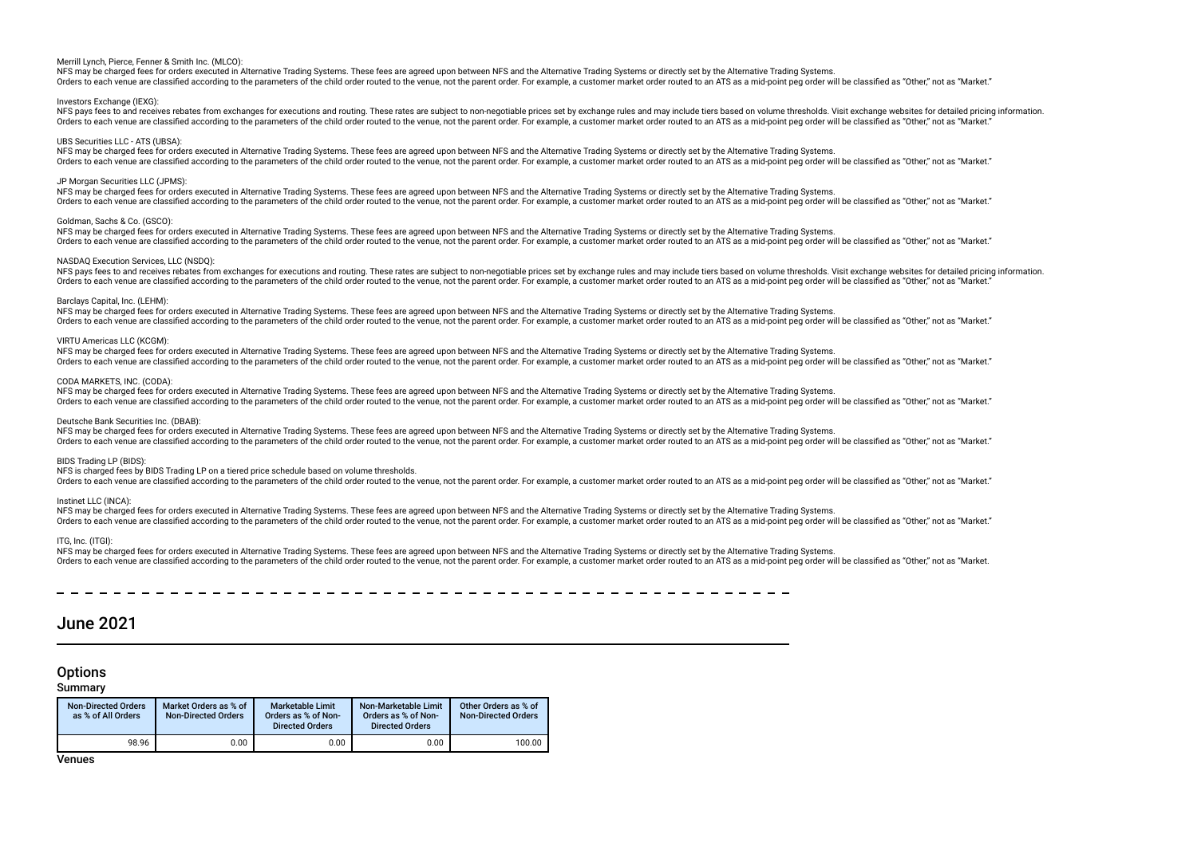#### Merrill Lynch, Pierce, Fenner & Smith Inc. (MLCO):

NFS may be charged fees for orders executed in Alternative Trading Systems. These fees are agreed upon between NFS and the Alternative Trading Systems or directly set by the Alternative Trading Systems. Orders to each venue are classified according to the parameters of the child order routed to the venue, not the parent order. For example, a customer market order routed to an ATS as a mid-point peg order will be classifie

#### Investors Exchange (IEXG)

NFS pays fees to and receives rebates from exchanges for executions and routing. These rates are subject to non-negotiable prices set by exchange rules and may include tiers based on volume thresholds. Visit exchange websi Orders to each venue are classified according to the parameters of the child order routed to the yenue, not the parent order. For example, a customer market order routed to an ATS as a mid-point peo order will be classifie

#### UBS Securities LLC - ATS (UBSA):

NFS may be charged fees for orders executed in Alternative Trading Systems. These fees are agreed upon between NFS and the Alternative Trading Systems or directly set by the Alternative Trading Systems. Orders to each venue are classified according to the parameters of the child order routed to the venue, not the parent order. For example, a customer market order routed to an ATS as a mid-point peg order will be classifie

#### JP Morgan Securities LLC (JPMS):

NFS may be charged fees for orders executed in Alternative Trading Systems. These fees are agreed upon between NFS and the Alternative Trading Systems or directly set by the Alternative Trading Systems. Orders to each venue are classified according to the parameters of the child order routed to the venue, not the parent order. For example, a customer market order routed to an ATS as a mid-point peg order will be classifie

#### Goldman, Sachs & Co. (GSCO):

NFS may be charged fees for orders executed in Alternative Trading Systems. These fees are agreed upon between NFS and the Alternative Trading Systems or directly set by the Alternative Trading Systems. Orders to each venue are classified according to the parameters of the child order routed to the venue, not the parent order. For example, a customer market order routed to an ATS as a mid-point peg order will be classifie

#### NASDAQ Execution Services, LLC (NSDQ):

NFS pays fees to and receives rebates from exchanges for executions and routing. These rates are subject to non-negotiable prices set by exchange rules and may include tiers based on yolume thresholds. Visit exchange websi Orders to each venue are classified according to the parameters of the child order routed to the venue, not the parent order. For example, a customer market order routed to an ATS as a mid-point peg order will be classifie

#### Barclays Capital, Inc. (LEHM):

NFS may be charged fees for orders executed in Alternative Trading Systems. These fees are agreed upon between NFS and the Alternative Trading Systems or directly set by the Alternative Trading Systems. Orders to each venue are classified according to the parameters of the child order routed to the venue, not the parent order. For example, a customer market order routed to an ATS as a mid-point peq order will be classifie

#### VIRTU Americas LLC (KCGM):

NFS may be charged fees for orders executed in Alternative Trading Systems. These fees are agreed upon between NFS and the Alternative Trading Systems or directly set by the Alternative Trading Systems or directly set by t Orders to each venue are classified according to the parameters of the child order routed to the yenue, not the parent order. For example, a customer market order routed to an ATS as a mid-point peg order will be classifie

#### CODA MARKETS, INC. (CODA):

NFS may be charged fees for orders executed in Alternative Trading Systems. These fees are agreed upon between NFS and the Alternative Trading Systems or directly set by the Alternative Trading Systems or directly set by t Orders to each venue are classified according to the parameters of the child order routed to the venue, not the parent order. For example, a customer market order routed to an ATS as a mid-point peg order will be classifie

#### Deutsche Bank Securities Inc. (DBAB):

NFS may be charged fees for orders executed in Alternative Trading Systems. These fees are agreed upon between NFS and the Alternative Trading Systems or directly set by the Alternative Trading Systems. Orders to each venue are classified according to the parameters of the child order routed to the venue, not the parent order. For example, a customer market order routed to an ATS as a mid-point peg order will be classifie

#### BIDS Trading LP (BIDS):

#### NFS is charged fees by BIDS Trading LP on a tiered price schedule based on volume thresholds.

Orders to each venue are classified according to the parameters of the child order routed to the venue, not the parent order. For example, a customer market order routed to an ATS as a mid-point peg order will be classifie

#### Instinet LLC (INCA):

NFS may be charged fees for orders executed in Alternative Trading Systems. These fees are agreed upon between NFS and the Alternative Trading Systems or directly set by the Alternative Trading Systems. Orders to each venue are classified according to the parameters of the child order routed to the venue, not the parent order. For example, a customer market order routed to an ATS as a mid-point peg order will be classifie

#### ITG, Inc. (ITGI):

NFS may be charged fees for orders executed in Alternative Trading Systems. These fees are agreed upon between NFS and the Alternative Trading Systems or directly set by the Alternative Trading Systems or directly set by t Orders to each venue are classified according to the parameters of the child order routed to the venue, not the parent order. For example, a customer market order routed to an ATS as a mid-point peq order will be classifie

## June 2021

# **Options**

## Summary

| <b>Non-Directed Orders</b><br>as % of All Orders | Market Orders as % of<br><b>Non-Directed Orders</b> | <b>Marketable Limit</b><br>Orders as % of Non-<br><b>Directed Orders</b> | Non-Marketable Limit<br>Orders as % of Non-<br><b>Directed Orders</b> | Other Orders as % of<br><b>Non-Directed Orders</b> |
|--------------------------------------------------|-----------------------------------------------------|--------------------------------------------------------------------------|-----------------------------------------------------------------------|----------------------------------------------------|
| 98.96                                            | 0.00                                                | 0.00                                                                     | 0.00                                                                  | 100.00                                             |